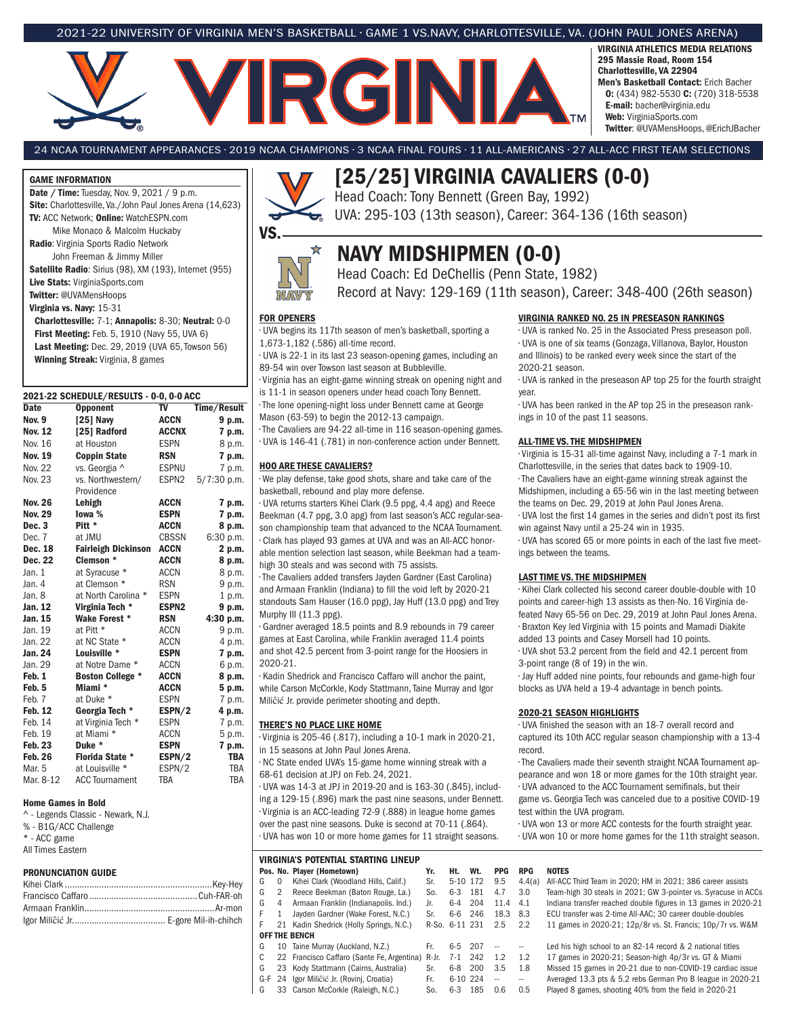#### 2021-22 UNIVERSITY OF VIRGINIA MEN'S BASKETBALL • GAME 1 VS.NAVY, CHARLOTTESVILLE, VA. (JOHN PAUL JONES ARENA)

# **ARGNIA**

VIRGINIA ATHLETICS MEDIA RELATIONS 295 Massie Road, Room 154 Charlottesville, VA 22904 Men's Basketball Contact: Erich Bacher O: (434) 982-5530 C: (720) 318-5538 E-mail: bacher@virginia.edu Web: VirginiaSports.com Twitter: @UVAMensHoops, @ErichJBacher

24 NCAA TOURNAMENT APPEARANCES • 2019 NCAA CHAMPIONS • 3 NCAA FINAL FOURS • 11 ALL-AMERICANS • 27 ALL-ACC FIRST TEAM SELECTIONS

#### GAME INFORMATION

Date / Time: Tuesday, Nov. 9, 2021 / 9 p.m. Site: Charlottesville, Va./John Paul Jones Arena (14,623) TV: ACC Network; Online: WatchESPN.com Mike Monaco & Malcolm Huckaby Radio: Virginia Sports Radio Network

John Freeman & Jimmy Miller Satellite Radio: Sirius (98), XM (193), Internet (955) Live Stats: VirginiaSports.com

Twitter: @UVAMensHoops

Virginia vs. Navy: 15-31

Charlottesville: 7-1; Annapolis: 8-30; Neutral: 0-0 First Meeting: Feb. 5, 1910 (Navy 55, UVA 6) Last Meeting: Dec. 29, 2019 (UVA 65, Towson 56) Winning Streak: Virginia, 8 games

#### 2021-22 SCHEDULE/RESULTS - 0-0, 0-0 ACC<br>Date Opponent TV Ti Opponent TV Time/Result Nov. 9 [25] Navy ACCN 9 p.m.<br>Nov. 12 [25] Radford ACCNX 7 p.m.  $[25]$  Radford Nov. 16 at Houston ESPN 8 p.m. Nov. 19 Coppin State RSN 7 p.m. Nov. 22 vs. Georgia ^ ESPNU 7 p.m. Nov. 23 vs. Northwestern/ ESPN2 5/7:30 p.m. Providence Nov. 26 Lehigh ACCN 7 p.m. Nov. 29 Iowa % ESPN 7 p.m.<br>Dec. 3 Pitt \* ACCN 8 p.m. Dec. 3 Pitt \* ACCN 8 p.m. Dec. 7 at JMU CBSSN 6:30 p.m.<br>**Dec. 18 Fairleigh Dickinson ACCN 2 p.m.** Fairleigh Dickinson **Dec. 22 Clemson \* ACCN 8 p.m.**<br>Jan. 1 at Syracuse \* ACCN 8 p.m. Jan. 1 at Syracuse \* ACCN 8 p.m.<br>Jan. 4 at Clemson \* RSN 9 p.m. at Clemson \* Jan. 8 at North Carolina \* ESPN 1 p.m.<br>**Jan. 12 Virginia Tech \* ESPN2 9 p.m.** Virginia Tech \* Jan. 15 Wake Forest \* RSN 4:30 p.m. Jan. 19 at Pitt \* ACCN 9 p.m.<br>Jan. 22 at NC State \* ACCN 4 p.m. Jan. 22 at NC State \* ACCN 4 p.m. **Jan. 24 Louisville \* ESPN 7 p.m.**<br>Jan. 29 at Notre Dame \* ACCN 6 p.m. at Notre Dame \* Feb. 1 Boston College \* ACCN 8 p.m. Feb. 5 Miami \* ACCN 5 p.m. Feb. 7 at Duke \* ESPN 7 p.m.<br>**Feb. 12 Georgia Tech \* ESPN/2 4 p.m.** Georgia Tech \* ESPN/2 4 p.m.<br>at Virginia Tech \* ESPN 7 p.m. Feb. 14 at Virginia Tech \* Feb. 19 at Miami \* ACCN 5 p.m. Feb. 23 Duke \* ESPN 7 p.m. **Feb. 26 Florida State \* ESPN/2 TBA**<br>Mar. 5 at Louisville \* ESPN/2 TBA Mar. 5 at Louisville \* ESPN/2 TBA<br>Mar. 8-12 ACC Tournament TBA TBA ACC Tournament TBA

#### Home Games in Bold

^ - Legends Classic - Newark, N.J. % - B1G/ACC Challenge \* - ACC game All Times Eastern

#### PRONUNCIATION GUIDE



☆

# [25/25] VIRGINIA CAVALIERS (0-0)

Head Coach: Tony Bennett (Green Bay, 1992) UVA: 295-103 (13th season), Career: 364-136 (16th season)

# NAVY MIDSHIPMEN (0-0)

Head Coach: Ed DeChellis (Penn State, 1982) Record at Navy: 129-169 (11th season), Career: 348-400 (26th season)

# NAW FOR OPENERS

VS.

- UVA begins its 117th season of men's basketball, sporting a 1,673-1,182 (.586) all-time record.
- UVA is 22-1 in its last 23 season-opening games, including an 89-54 win over Towson last season at Bubbleville.

• Virginia has an eight-game winning streak on opening night and is 11-1 in season openers under head coach Tony Bennett.

• The lone opening-night loss under Bennett came at George Mason (63-59) to begin the 2012-13 campaign.

• The Cavaliers are 94-22 all-time in 116 season-opening games.

• UVA is 146-41 (.781) in non-conference action under Bennett.

#### HOO ARE THESE CAVALIERS?

• We play defense, take good shots, share and take care of the basketball, rebound and play more defense.

• UVA returns starters Kihei Clark (9.5 ppg, 4.4 apg) and Reece Beekman (4.7 ppg, 3.0 apg) from last season's ACC regular-season championship team that advanced to the NCAA Tournament. • Clark has played 93 games at UVA and was an All-ACC honorable mention selection last season, while Beekman had a team-

high 30 steals and was second with 75 assists.

• The Cavaliers added transfers Jayden Gardner (East Carolina)

and Armaan Franklin (Indiana) to fill the void left by 2020-21 standouts Sam Hauser (16.0 ppg), Jay Huff (13.0 ppg) and Trey Murphy III (11.3 ppg).

• Gardner averaged 18.5 points and 8.9 rebounds in 79 career games at East Carolina, while Franklin averaged 11.4 points and shot 42.5 percent from 3-point range for the Hoosiers in 2020-21.

• Kadin Shedrick and Francisco Caffaro will anchor the paint, while Carson McCorkle, Kody Stattmann, Taine Murray and Igor Miliĉić Jr. provide perimeter shooting and depth.

#### THERE'S NO PLACE LIKE HOME

• Virginia is 205-46 (.817), including a 10-1 mark in 2020-21, in 15 seasons at John Paul Jones Arena.

• NC State ended UVA's 15-game home winning streak with a 68-61 decision at JPJ on Feb. 24, 2021.

• UVA was 14-3 at JPJ in 2019-20 and is 163-30 (.845), including a 129-15 (.896) mark the past nine seasons, under Bennett. • Virginia is an ACC-leading 72-9 (.888) in league home games over the past nine seasons. Duke is second at 70-11 (.864).

• UVA has won 10 or more home games for 11 straight seasons.

# VIRGINIA'S POTENTIAL STARTING LINEUP Pos. No. Player (Hometown) Yr. Ht. Wt. PPG RPG NOTES<br>G 0 Kihei Clark (Woodland Hills, Calif.) Sr. 5-10 172 9.5 4.4(a) All-ACC OFF THE BENCH G 10 Taine Murray (Auckland, N.Z.) Fr. 6-5 207 -- -- Led his high school to an 82-14 record & 2 national titles

- 
- 

#### VIRGINIA RANKED NO. 25 IN PRESEASON RANKINGS

• UVA is ranked No. 25 in the Associated Press preseason poll. • UVA is one of six teams (Gonzaga, Villanova, Baylor, Houston and Illinois) to be ranked every week since the start of the 2020-21 season.

• UVA is ranked in the preseason AP top 25 for the fourth straight year.

• UVA has been ranked in the AP top 25 in the preseason rankings in 10 of the past 11 seasons.

#### ALL-TIME VS. THE MIDSHIPMEN

• Virginia is 15-31 all-time against Navy, including a 7-1 mark in Charlottesville, in the series that dates back to 1909-10.

• The Cavaliers have an eight-game winning streak against the Midshipmen, including a 65-56 win in the last meeting between the teams on Dec. 29, 2019 at John Paul Jones Arena.

• UVA lost the first 14 games in the series and didn't post its first win against Navy until a 25-24 win in 1935.

• UVA has scored 65 or more points in each of the last five meetings between the teams.

#### LAST TIME VS. THE MIDSHIPMEN

• Kihei Clark collected his second career double-double with 10 points and career-high 13 assists as then-No. 16 Virginia defeated Navy 65-56 on Dec. 29, 2019 at John Paul Jones Arena. • Braxton Key led Virginia with 15 points and Mamadi Diakite

added 13 points and Casey Morsell had 10 points. • UVA shot 53.2 percent from the field and 42.1 percent from

3-point range (8 of 19) in the win. • Jay Huff added nine points, four rebounds and game-high four

blocks as UVA held a 19-4 advantage in bench points.

#### 2020-21 SEASON HIGHLIGHTS

• UVA finished the season with an 18-7 overall record and captured its 10th ACC regular season championship with a 13-4 record.

• The Cavaliers made their seventh straight NCAA Tournament appearance and won 18 or more games for the 10th straight year. • UVA advanced to the ACC Tournament semifinals, but their

game vs. Georgia Tech was canceled due to a positive COVID-19 test within the UVA program.

• UVA won 13 or more ACC contests for the fourth straight year. • UVA won 10 or more home games for the 11th straight season.

### G 0 Kihei Clark (Woodland Hills, Calif.) Sr. 5-10 172 9.5 4.4(a) All-ACC Third Team in 2020; HM in 2021; 386 career assists G 2 Reece Beekman (Baton Rouge, La.) So. 6-3 181 4.7 3.0 Team-high 30 steals in 2021; GW 3-pointer vs. Syracuse in ACCs G 4 Armaan Franklin (Indianapolis. Ind.) Jr. 6-4 204 11.4 4.1 Indiana transfer reached double figures in 13 games in 2020-21 F 1 Jayden Gardner (Wake Forest, N.C.) Sr. 6-6 246 18.3 8.3 ECU transfer was 2-time All-AAC; 30 career double-doubles<br>F 21 Kadin Shedrick (Holly Springs, N.C.) R-So. 6-11 231 2.5 2.2 11 games in 2020-21; 12p/8r vs. St. Fra F 21 Kadin Shedrick (Holly Springs, N.C.) R-So. 6-11 231 2.5 2.2 11 games in 2020-21; 12p/8r vs. St. Francis; 10p/7r vs. W&M

C 22 Francisco Caffaro (Sante Fe, Argentina) R-Jr. 7-1 242 1.2 1.2 17 games in 2020-21; Season-high 4p/3r vs. GT & Miami<br>G 23 Kodv Stattmann (Cairns. Australia) Sr. 6-8 200 3.5 1.8 Missed 15 games in 20-21 due to non-COVID G 23 Kody Stattmann (Cairns, Australia) Sr. 6-8 200 3.5 1.8 Missed 15 games in 20-21 due to non-COVID-19 cardiac issue<br>G-F 24 Igor Miliĉić Jr. (Rovinj, Croatia) Fr. 6-10 224 -- -- Averaged 13.3 pts & 5.2 rebs German Pro B G-F 24 Igor Miliĉić Jr. (Rovinj, Croatia) Fr. 6-10 224 -- - Averaged 13.3 pts & 5.2 rebs German Pro B league in 2020-21<br>G 33 Carson McCorkle (Raleigh, N.C.) So. 6-3 185 0.6 0.5 Played 8 games, shooting 40% from the field i G 33 Carson McCorkle (Raleigh, N.C.) So. 6-3 185 0.6 0.5 Played 8 games, shooting 40% from the field in 2020-21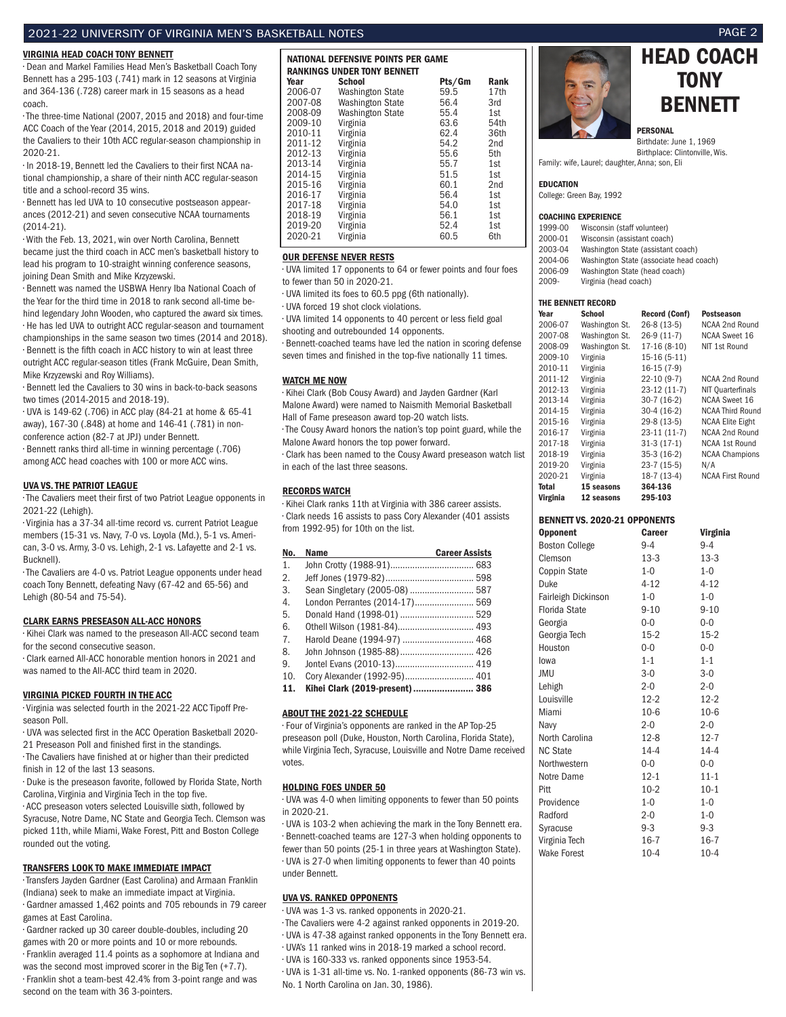#### 2021-22 UNIVERSITY OF VIRGINIA MEN'S BASKETBALL NOTES PAGE 2

#### VIRGINIA HEAD COACH TONY BENNETT

• Dean and Markel Families Head Men's Basketball Coach Tony Bennett has a 295-103 (.741) mark in 12 seasons at Virginia and 364-136 (.728) career mark in 15 seasons as a head coach.

• The three-time National (2007, 2015 and 2018) and four-time ACC Coach of the Year (2014, 2015, 2018 and 2019) guided the Cavaliers to their 10th ACC regular-season championship in 2020-21.

• In 2018-19, Bennett led the Cavaliers to their first NCAA national championship, a share of their ninth ACC regular-season title and a school-record 35 wins.

• Bennett has led UVA to 10 consecutive postseason appearances (2012-21) and seven consecutive NCAA tournaments (2014-21).

• With the Feb. 13, 2021, win over North Carolina, Bennett became just the third coach in ACC men's basketball history to lead his program to 10-straight winning conference seasons, joining Dean Smith and Mike Krzyzewski.

• Bennett was named the USBWA Henry Iba National Coach of the Year for the third time in 2018 to rank second all-time behind legendary John Wooden, who captured the award six times. • He has led UVA to outright ACC regular-season and tournament championships in the same season two times (2014 and 2018). • Bennett is the fifth coach in ACC history to win at least three outright ACC regular-season titles (Frank McGuire, Dean Smith, Mike Krzyzewski and Roy Williams).

• Bennett led the Cavaliers to 30 wins in back-to-back seasons two times (2014-2015 and 2018-19).

• UVA is 149-62 (.706) in ACC play (84-21 at home & 65-41 away), 167-30 (.848) at home and 146-41 (.781) in nonconference action (82-7 at JPJ) under Bennett.

• Bennett ranks third all-time in winning percentage (.706) among ACC head coaches with 100 or more ACC wins.

#### UVA VS. THE PATRIOT LEAGUE

• The Cavaliers meet their first of two Patriot League opponents in 2021-22 (Lehigh).

• Virginia has a 37-34 all-time record vs. current Patriot League members (15-31 vs. Navy, 7-0 vs. Loyola (Md.), 5-1 vs. American, 3-0 vs. Army, 3-0 vs. Lehigh, 2-1 vs. Lafayette and 2-1 vs. Bucknell).

• The Cavaliers are 4-0 vs. Patriot League opponents under head coach Tony Bennett, defeating Navy (67-42 and 65-56) and Lehigh (80-54 and 75-54).

#### CLARK EARNS PRESEASON ALL-ACC HONORS

• Kihei Clark was named to the preseason All-ACC second team for the second consecutive season.

• Clark earned All-ACC honorable mention honors in 2021 and was named to the All-ACC third team in 2020.

#### VIRGINIA PICKED FOURTH IN THE ACC

• Virginia was selected fourth in the 2021-22 ACC Tipoff Preseason Poll.

• UVA was selected first in the ACC Operation Basketball 2020-

- 21 Preseason Poll and finished first in the standings.
- The Cavaliers have finished at or higher than their predicted

finish in 12 of the last 13 seasons. • Duke is the preseason favorite, followed by Florida State, North

Carolina, Virginia and Virginia Tech in the top five. • ACC preseason voters selected Louisville sixth, followed by

Syracuse, Notre Dame, NC State and Georgia Tech. Clemson was picked 11th, while Miami, Wake Forest, Pitt and Boston College rounded out the voting.

#### TRANSFERS LOOK TO MAKE IMMEDIATE IMPACT

• Transfers Jayden Gardner (East Carolina) and Armaan Franklin (Indiana) seek to make an immediate impact at Virginia. • Gardner amassed 1,462 points and 705 rebounds in 79 career games at East Carolina.

• Gardner racked up 30 career double-doubles, including 20 games with 20 or more points and 10 or more rebounds. • Franklin averaged 11.4 points as a sophomore at Indiana and was the second most improved scorer in the Big Ten (+7.7). • Franklin shot a team-best 42.4% from 3-point range and was second on the team with 36 3-pointers.

| NATIONAL DEFENSIVE POINTS PER GAME |                                                     |                |                 |  |
|------------------------------------|-----------------------------------------------------|----------------|-----------------|--|
| Year                               | <b>RANKINGS UNDER TONY BENNETT</b><br><b>School</b> |                | Rank            |  |
| 2006-07                            | Washington State                                    | Pts/Gm<br>59.5 | 17th            |  |
| 2007-08                            | <b>Washington State</b>                             | 56.4           | 3rd             |  |
| 2008-09                            | <b>Washington State</b>                             | 55.4           | 1st             |  |
| 2009-10                            | Virginia                                            | 63.6           | 54th            |  |
| 2010-11                            | Virginia                                            | 62.4           | 36th            |  |
| 2011-12                            | Virginia                                            | 54.2           | 2 <sub>nd</sub> |  |
| 2012-13                            | Virginia                                            | 55.6           | 5th             |  |
| 2013-14                            | Virginia                                            | 55.7           | 1st             |  |
| 2014-15                            | Virginia                                            | 51.5           | 1st             |  |
| 2015-16                            | Virginia                                            | 60.1           | 2nd             |  |
| 2016-17                            | Virginia                                            | 56.4           | 1st             |  |
| 2017-18                            | Virginia                                            | 54.0           | 1st             |  |
| 2018-19                            | Virginia                                            | 56.1           | 1st             |  |
| 2019-20                            | Virginia                                            | 52.4           | 1st             |  |
| 2020-21                            | Virginia                                            | 60.5           | 6th             |  |

#### OUR DEFENSE NEVER RESTS

• UVA limited 17 opponents to 64 or fewer points and four foes to fewer than 50 in 2020-21.

• UVA limited its foes to 60.5 ppg (6th nationally).

• UVA forced 19 shot clock violations.

• UVA limited 14 opponents to 40 percent or less field goal shooting and outrebounded 14 opponents.

• Bennett-coached teams have led the nation in scoring defense seven times and finished in the top-five nationally 11 times.

#### WATCH ME NOW

• Kihei Clark (Bob Cousy Award) and Jayden Gardner (Karl Malone Award) were named to Naismith Memorial Basketball Hall of Fame preseason award top-20 watch lists.

• The Cousy Award honors the nation's top point guard, while the Malone Award honors the top power forward.

• Clark has been named to the Cousy Award preseason watch list in each of the last three seasons.

#### RECORDS WATCH

• Kihei Clark ranks 11th at Virginia with 386 career assists. • Clark needs 16 assists to pass Cory Alexander (401 assists from 1992-95) for 10th on the list.

| No.            | <b>Name</b>                     | <b>Career Assists</b> |
|----------------|---------------------------------|-----------------------|
| 1.             |                                 |                       |
| 2.             |                                 |                       |
| 3.             | Sean Singletary (2005-08)  587  |                       |
| 4.             | London Perrantes (2014-17) 569  |                       |
| 5.             | Donald Hand (1998-01)  529      |                       |
| 6.             |                                 |                       |
| 7 <sub>1</sub> | Harold Deane (1994-97)  468     |                       |
| 8.             |                                 |                       |
| 9.             |                                 |                       |
| 10.            | Cory Alexander (1992-95) 401    |                       |
| 11.            | Kihei Clark (2019-present)  386 |                       |

#### ABOUT THE 2021-22 SCHEDULE

• Four of Virginia's opponents are ranked in the AP Top-25 preseason poll (Duke, Houston, North Carolina, Florida State), while Virginia Tech, Syracuse, Louisville and Notre Dame received votes.

#### HOLDING FOES UNDER 50

• UVA was 4-0 when limiting opponents to fewer than 50 points in 2020-21.

• UVA is 103-2 when achieving the mark in the Tony Bennett era. • Bennett-coached teams are 127-3 when holding opponents to fewer than 50 points (25-1 in three years at Washington State). • UVA is 27-0 when limiting opponents to fewer than 40 points under Bennett.

#### UVA VS. RANKED OPPONENTS

• UVA was 1-3 vs. ranked opponents in 2020-21.

- The Cavaliers were 4-2 against ranked opponents in 2019-20.
- UVA is 47-38 against ranked opponents in the Tony Bennett era.
- UVA's 11 ranked wins in 2018-19 marked a school record.
- UVA is 160-333 vs. ranked opponents since 1953-54. • UVA is 1-31 all-time vs. No. 1-ranked opponents (86-73 win vs.

No. 1 North Carolina on Jan. 30, 1986).





PERSONAL

Birthdate: June 1, 1969 Birthplace: Clintonville, Wis.

Family: wife, Laurel; daughter, Anna; son, Eli

#### EDUCATION

College: Green Bay, 1992

#### COACHING EXPERIENCE

| 1999-00  | Wisconsin (staff volunteer)             |
|----------|-----------------------------------------|
| 2000-01  | Wisconsin (assistant coach)             |
| 2003-04  | Washington State (assistant coach)      |
| 2004-06  | Washington State (associate head coach) |
| 2006-09  | Washington State (head coach)           |
| $2009 -$ | Virginia (head coach)                   |
|          |                                         |

#### THE BENNETT RECORD

| Year     | <b>School</b>  | <b>Record (Conf)</b> | <b>Postseason</b>       |
|----------|----------------|----------------------|-------------------------|
| 2006-07  | Washington St. | 26-8 (13-5)          | NCAA 2nd Round          |
| 2007-08  | Washington St. | 26-9 (11-7)          | <b>NCAA Sweet 16</b>    |
| 2008-09  | Washington St. | 17-16 (8-10)         | NIT 1st Round           |
| 2009-10  | Virginia       | $15-16(5-11)$        |                         |
| 2010-11  | Virginia       | $16-15(7-9)$         |                         |
| 2011-12  | Virginia       | $22-10(9-7)$         | NCAA 2nd Round          |
| 2012-13  | Virginia       | 23-12 (11-7)         | NIT Quarterfinals       |
| 2013-14  | Virginia       | $30-7(16-2)$         | <b>NCAA Sweet 16</b>    |
| 2014-15  | Virginia       | $30-4(16-2)$         | <b>NCAA Third Round</b> |
| 2015-16  | Virginia       | 29-8 (13-5)          | <b>NCAA Elite Eight</b> |
| 2016-17  | Virginia       | $23-11(11-7)$        | NCAA 2nd Round          |
| 2017-18  | Virginia       | $31-3(17-1)$         | NCAA 1st Round          |
| 2018-19  | Virginia       | $35-3(16-2)$         | <b>NCAA Champions</b>   |
| 2019-20  | Virginia       | 23-7 (15-5)          | N/A                     |
| 2020-21  | Virginia       | $18-7(13-4)$         | <b>NCAA First Round</b> |
| Total    | 15 seasons     | 364-136              |                         |
| Virginia | 12 seasons     | 295-103              |                         |

#### BENNETT VS. 2020-21 OPPONENTS

| <b>Opponent</b>       | <b>Career</b> | Virginia |
|-----------------------|---------------|----------|
| <b>Boston College</b> | $9 - 4$       | $9 - 4$  |
| Clemson               | $13-3$        | $13-3$   |
| Coppin State          | $1 - 0$       | $1 - 0$  |
| Duke                  | $4 - 12$      | $4 - 12$ |
| Fairleigh Dickinson   | $1-0$         | $1 - 0$  |
| Florida State         | $9 - 10$      | $9 - 10$ |
| Georgia               | $0 - 0$       | $0 - 0$  |
| Georgia Tech          | $15-2$        | $15-2$   |
| Houston               | $0 - 0$       | $0 - 0$  |
| lowa                  | $1 - 1$       | $1 - 1$  |
| JMU                   | $3-0$         | $3-0$    |
| Lehigh                | $2 - 0$       | $2 - 0$  |
| Louisville            | $12 - 2$      | $12 - 2$ |
| Miami                 | $10-6$        | $10-6$   |
| Navy                  | $2 - 0$       | $2 - 0$  |
| North Carolina        | $12 - 8$      | $12 - 7$ |
| <b>NC State</b>       | $14 - 4$      | $14 - 4$ |
| Northwestern          | $0 - 0$       | $0 - 0$  |
| Notre Dame            | $12 - 1$      | $11 - 1$ |
| Pitt                  | $10-2$        | $10-1$   |
| Providence            | $1 - 0$       | $1 - 0$  |
| Radford               | $2 - 0$       | $1 - 0$  |
| Syracuse              | $9 - 3$       | $9 - 3$  |
| Virginia Tech         | $16 - 7$      | $16 - 7$ |
| <b>Wake Forest</b>    | $10 - 4$      | $10 - 4$ |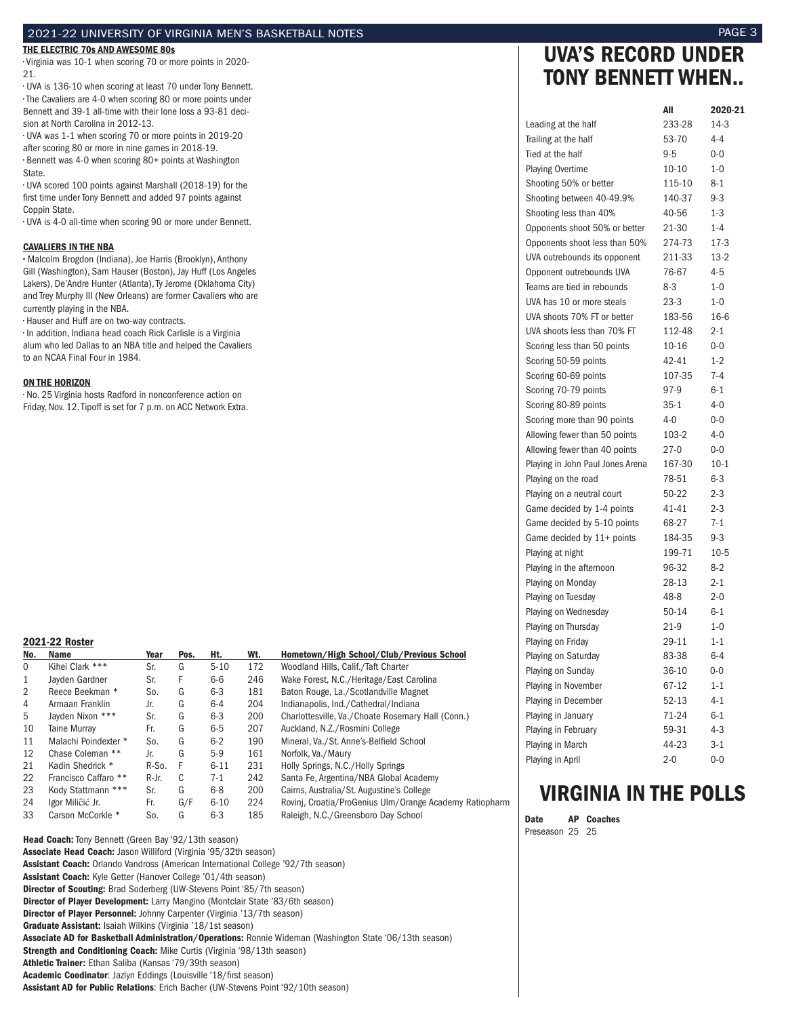#### 2021-22 UNIVERSITY OF VIRGINIA MEN'S BASKETBALL NOTES PAGE 3

#### THE ELECTRIC 70s AND AWESOME 80s

• Virginia was 10-1 when scoring 70 or more points in 2020- 21.

• UVA is 136-10 when scoring at least 70 under Tony Bennett. • The Cavaliers are 4-0 when scoring 80 or more points under Bennett and 39-1 all-time with their lone loss a 93-81 decision at North Carolina in 2012-13.

• UVA was 1-1 when scoring 70 or more points in 2019-20 after scoring 80 or more in nine games in 2018-19. • Bennett was 4-0 when scoring 80+ points at Washington State.

• UVA scored 100 points against Marshall (2018-19) for the first time under Tony Bennett and added 97 points against Coppin State.

• UVA is 4-0 all-time when scoring 90 or more under Bennett.

#### CAVALIERS IN THE NBA

•• Malcolm Brogdon (Indiana), Joe Harris (Brooklyn), Anthony Gill (Washington), Sam Hauser (Boston), Jay Huff (Los Angeles Lakers), De'Andre Hunter (Atlanta), Ty Jerome (Oklahoma City) and Trey Murphy III (New Orleans) are former Cavaliers who are currently playing in the NBA.

• Hauser and Huff are on two-way contracts.

• In addition, Indiana head coach Rick Carlisle is a Virginia alum who led Dallas to an NBA title and helped the Cavaliers to an NCAA Final Four in 1984.

#### ON THE HORIZON

• No. 25 Virginia hosts Radford in nonconference action on Friday, Nov. 12. Tipoff is set for 7 p.m. on ACC Network Extra.

#### 2021-22 Roster

| No.          | Name                 | Year  | Pos. | Ht.      | Wt. | Hometown/High School/Club/Previous School               |
|--------------|----------------------|-------|------|----------|-----|---------------------------------------------------------|
| $\mathbf 0$  | Kihei Clark ***      | Sr.   | G    | $5 - 10$ | 172 | Woodland Hills, Calif./Taft Charter                     |
| $\mathbf{1}$ | Javden Gardner       | Sr.   | F    | $6-6$    | 246 | Wake Forest, N.C./Heritage/East Carolina                |
| 2            | Reece Beekman *      | So.   | G    | $6 - 3$  | 181 | Baton Rouge, La./Scotlandville Magnet                   |
| 4            | Armaan Franklin      | Jr.   | G    | $6-4$    | 204 | Indianapolis, Ind./Cathedral/Indiana                    |
| 5            | Javden Nixon ***     | Sr.   | G    | $6 - 3$  | 200 | Charlottesville, Va./Choate Rosemary Hall (Conn.)       |
| 10           | <b>Taine Murrav</b>  | Fr.   | G    | $6-5$    | 207 | Auckland, N.Z./Rosmini College                          |
| 11           | Malachi Poindexter * | So.   | G    | $6 - 2$  | 190 | Mineral, Va./St. Anne's-Belfield School                 |
| 12           | Chase Coleman **     | Jr.   | G    | $5-9$    | 161 | Norfolk, Va./Maury                                      |
| 21           | Kadin Shedrick *     | R-So. | F    | $6 - 11$ | 231 | Holly Springs, N.C./Holly Springs                       |
| 22           | Francisco Caffaro ** | R-Jr. | C    | 7-1      | 242 | Santa Fe, Argentina/NBA Global Academy                  |
| 23           | Kody Stattmann ***   | Sr.   | G    | $6 - 8$  | 200 | Cairns, Australia/St. Augustine's College               |
| 24           | Igor Miliĉić Jr.     | Fr.   | G/F  | $6 - 10$ | 224 | Rovinj, Croatia/ProGenius Ulm/Orange Academy Ratiopharm |
| 33           | Carson McCorkle *    | So.   | G    | $6-3$    | 185 | Raleigh, N.C./Greensboro Day School                     |

Head Coach: Tony Bennett (Green Bay '92/13th season) Associate Head Coach: Jason Williford (Virginia '95/32th season) Assistant Coach: Orlando Vandross (American International College '92/7th season) Assistant Coach: Kyle Getter (Hanover College '01/4th season) Director of Scouting: Brad Soderberg (UW-Stevens Point '85/7th season) Director of Player Development: Larry Mangino (Montclair State '83/6th season) Director of Player Personnel: Johnny Carpenter (Virginia '13/7th season) Graduate Assistant: Isaiah Wilkins (Virginia '18/1st season) Associate AD for Basketball Administration/Operations: Ronnie Wideman (Washington State '06/13th season) Strength and Conditioning Coach: Mike Curtis (Virginia '98/13th season) Athletic Trainer: Ethan Saliba (Kansas '79/39th season) Academic Coodinator: Jazlyn Eddings (Louisville '18/first season) Assistant AD for Public Relations: Erich Bacher (UW-Stevens Point '92/10th season)

# UVA'S RECORD UNDER TONY BENNETT WHEN..

|                                  | All       | 2020-21  |
|----------------------------------|-----------|----------|
| Leading at the half              | 233-28    | $14-3$   |
| Trailing at the half             | 53-70     | $4 - 4$  |
| Tied at the half                 | $9 - 5$   | $0 - 0$  |
| <b>Playing Overtime</b>          | $10 - 10$ | $1 - 0$  |
| Shooting 50% or better           | 115-10    | $8 - 1$  |
| Shooting between 40-49.9%        | 140-37    | $9 - 3$  |
| Shooting less than 40%           | 40-56     | $1 - 3$  |
| Opponents shoot 50% or better    | 21-30     | $1 - 4$  |
| Opponents shoot less than 50%    | 274-73    | $17-3$   |
| UVA outrebounds its opponent     | 211-33    | $13-2$   |
| Opponent outrebounds UVA         | 76-67     | $4 - 5$  |
| Teams are tied in rebounds       | $8-3$     | $1 - 0$  |
| UVA has 10 or more steals        | $23-3$    | $1 - 0$  |
| UVA shoots 70% FT or better      | 183-56    | $16-6$   |
| UVA shoots less than 70% FT      | 112-48    | $2 - 1$  |
| Scoring less than 50 points      | 10-16     | $0 - 0$  |
| Scoring 50-59 points             | 42-41     | $1 - 2$  |
| Scoring 60-69 points             | 107-35    | $7 - 4$  |
| Scoring 70-79 points             | 97-9      | $6 - 1$  |
| Scoring 80-89 points             | $35 - 1$  | $4 - 0$  |
| Scoring more than 90 points      | 4-0       | $0-0$    |
| Allowing fewer than 50 points    | 103-2     | $4 - 0$  |
| Allowing fewer than 40 points    | $27-0$    | $0 - 0$  |
| Playing in John Paul Jones Arena | 167-30    | $10-1$   |
| Playing on the road              | 78-51     | $6 - 3$  |
| Playing on a neutral court       | 50-22     | $2 - 3$  |
| Game decided by 1-4 points       | 41-41     | $2 - 3$  |
| Game decided by 5-10 points      | 68-27     | $7 - 1$  |
| Game decided by 11+ points       | 184-35    | $9 - 3$  |
| Playing at night                 | 199-71    | $10 - 5$ |
| Playing in the afternoon         | 96-32     | $8-2$    |
| Playing on Monday                | 28-13     | $2 - 1$  |
| Playing on Tuesday               | 48-8      | $2 - 0$  |
| Playing on Wednesday             | 50-14     | $6 - 1$  |
| Playing on Thursday              | 21-9      | $1 - 0$  |
| Playing on Friday                | 29-11     | $1 - 1$  |
| Playing on Saturday              | 83-38     | $6 - 4$  |
| Playing on Sunday                | $36 - 10$ | $0 - 0$  |
| Playing in November              | 67-12     | $1 - 1$  |
| Playing in December              | 52-13     | $4 - 1$  |
| Playing in January               | 71-24     | $6 - 1$  |
| Playing in February              | 59-31     | $4 - 3$  |
| Playing in March                 | 44-23     | $3-1$    |
| Playing in April                 | $2 - 0$   | $0 - 0$  |

# VIRGINIA IN THE POLLS

Date AP Coaches Preseason 25 25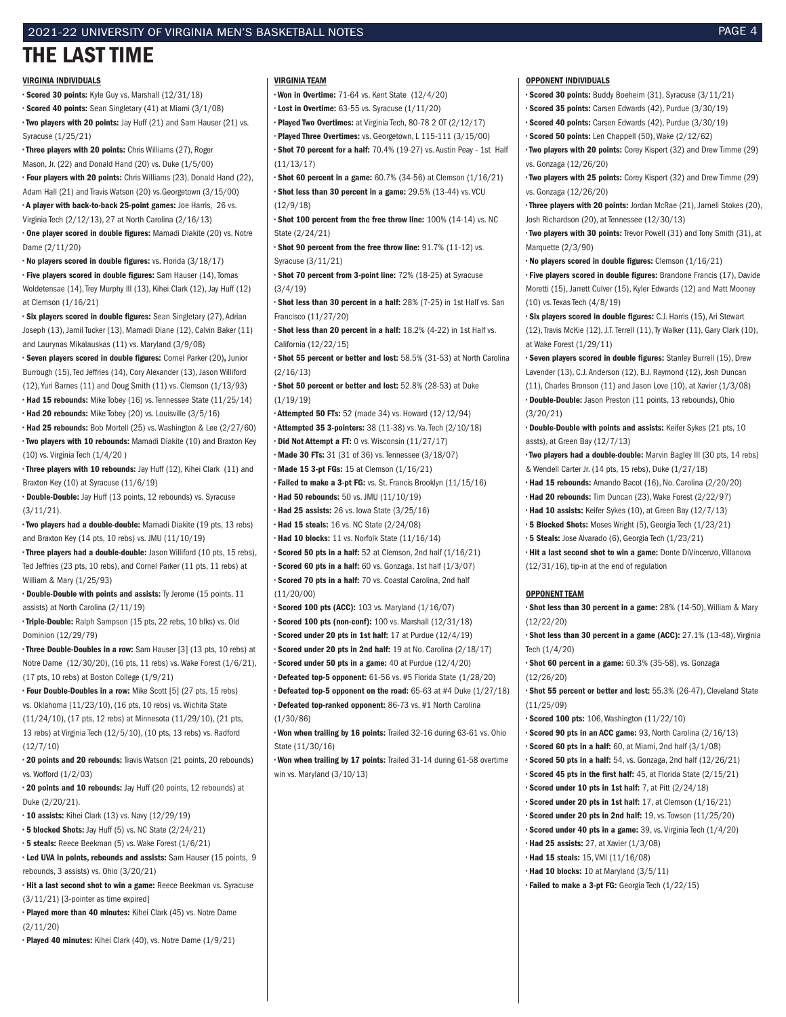#### 2021-22 UNIVERSITY OF VIRGINIA MEN'S BASKETBALL NOTES PAGE 4

# THE LAST TIME

#### VIRGINIA INDIVIDUALS

• Scored 30 points: Kyle Guy vs. Marshall (12/31/18) • Scored 40 points: Sean Singletary (41) at Miami (3/1/08) • Two players with 20 points: Jay Huff (21) and Sam Hauser (21) vs. Syracuse (1/25/21)

• Three players with 20 points: Chris Williams (27), Roger Mason, Jr. (22) and Donald Hand (20) vs. Duke (1/5/00) • Four players with 20 points: Chris Williams (23), Donald Hand (22),

Adam Hall (21) and Travis Watson (20) vs.Georgetown (3/15/00) • A player with back-to-back 25-point games: Joe Harris, 26 vs.

Virginia Tech (2/12/13), 27 at North Carolina (2/16/13) • One player scored in double figures: Mamadi Diakite (20) vs. Notre Dame (2/11/20)

• No players scored in double figures: vs. Florida (3/18/17) • Five players scored in double figures: Sam Hauser (14), Tomas Woldetensae (14), Trey Murphy III (13), Kihei Clark (12), Jay Huff (12) at Clemson (1/16/21)

• Six players scored in double figures: Sean Singletary (27), Adrian Joseph (13), Jamil Tucker (13), Mamadi Diane (12), Calvin Baker (11) and Laurynas Mikalauskas (11) vs. Maryland (3/9/08)

• Seven players scored in double figures: Cornel Parker (20), Junior Burrough (15), Ted Jeffries (14), Cory Alexander (13), Jason Williford (12), Yuri Barnes (11) and Doug Smith (11) vs. Clemson (1/13/93) • Had 15 rebounds: Mike Tobey (16) vs. Tennessee State (11/25/14) • Had 20 rebounds: Mike Tobey (20) vs. Louisville (3/5/16)

• Had 25 rebounds: Bob Mortell (25) vs. Washington & Lee (2/27/60) • Two players with 10 rebounds: Mamadi Diakite (10) and Braxton Key (10) vs. Virginia Tech (1/4/20 )

• Three players with 10 rebounds: Jay Huff (12), Kihei Clark (11) and Braxton Key (10) at Syracuse (11/6/19)

• Double-Double: Jay Huff (13 points, 12 rebounds) vs. Syracuse (3/11/21).

• Two players had a double-double: Mamadi Diakite (19 pts, 13 rebs) and Braxton Key (14 pts, 10 rebs) vs. JMU (11/10/19)

• Three players had a double-double: Jason Williford (10 pts, 15 rebs), Ted Jeffries (23 pts, 10 rebs), and Cornel Parker (11 pts, 11 rebs) at William & Mary (1/25/93)

• Double-Double with points and assists: Ty Jerome (15 points, 11 assists) at North Carolina (2/11/19)

• Triple-Double: Ralph Sampson (15 pts, 22 rebs, 10 blks) vs. Old Dominion (12/29/79)

• Three Double-Doubles in a row: Sam Hauser [3] (13 pts, 10 rebs) at Notre Dame (12/30/20), (16 pts, 11 rebs) vs. Wake Forest (1/6/21), (17 pts, 10 rebs) at Boston College (1/9/21)

• Four Double-Doubles in a row: Mike Scott [5] (27 pts, 15 rebs) vs. Oklahoma (11/23/10), (16 pts, 10 rebs) vs. Wichita State (11/24/10), (17 pts, 12 rebs) at Minnesota (11/29/10), (21 pts, 13 rebs) at Virginia Tech (12/5/10), (10 pts, 13 rebs) vs. Radford (12/7/10)

• 20 points and 20 rebounds: Travis Watson (21 points, 20 rebounds) vs. Wofford (1/2/03)

• 20 points and 10 rebounds: Jay Huff (20 points, 12 rebounds) at Duke (2/20/21).

• 10 assists: Kihei Clark (13) vs. Navy (12/29/19)

• 5 blocked Shots: Jay Huff (5) vs. NC State (2/24/21)

• 5 steals: Reece Beekman (5) vs. Wake Forest (1/6/21)

• Led UVA in points, rebounds and assists: Sam Hauser (15 points, 9 rebounds, 3 assists) vs. Ohio (3/20/21)

• Hit a last second shot to win a game: Reece Beekman vs. Syracuse (3/11/21) [3-pointer as time expired]

• Played more than 40 minutes: Kihei Clark (45) vs. Notre Dame (2/11/20)

• Played 40 minutes: Kihei Clark (40), vs. Notre Dame (1/9/21)

#### VIRGINIA TEAM

• Won in Overtime: 71-64 vs. Kent State (12/4/20)

• Lost in Overtime: 63-55 vs. Syracuse (1/11/20)

• Played Two Overtimes: at Virginia Tech, 80-78 2 OT (2/12/17) • Played Three Overtimes: vs. Georgetown, L 115-111 (3/15/00)

• Shot 70 percent for a half: 70.4% (19-27) vs. Austin Peay - 1st Half (11/13/17)

• Shot 60 percent in a game: 60.7% (34-56) at Clemson (1/16/21) • Shot less than 30 percent in a game: 29.5% (13-44) vs. VCU (12/9/18)

• Shot 100 percent from the free throw line: 100% (14-14) vs. NC State (2/24/21)

• Shot 90 percent from the free throw line: 91.7% (11-12) vs. Syracuse (3/11/21)

• Shot 70 percent from 3-point line: 72% (18-25) at Syracuse (3/4/19)

• Shot less than 30 percent in a half: 28% (7-25) in 1st Half vs. San Francisco (11/27/20)

• Shot less than 20 percent in a half: 18.2% (4-22) in 1st Half vs. California (12/22/15)

• Shot 55 percent or better and lost: 58.5% (31-53) at North Carolina (2/16/13)

• Shot 50 percent or better and lost: 52.8% (28-53) at Duke (1/19/19)

• Attempted 50 FTs: 52 (made 34) vs. Howard (12/12/94) • Attempted 35 3-pointers: 38 (11-38) vs. Va. Tech (2/10/18)

• Did Not Attempt a FT: 0 vs. Wisconsin (11/27/17)

• Made 30 FTs: 31 (31 of 36) vs. Tennessee (3/18/07)

• Made 15 3-pt FGs: 15 at Clemson (1/16/21)

• Failed to make a 3-pt FG: vs. St. Francis Brooklyn (11/15/16) • Had 50 rebounds: 50 vs. JMU (11/10/19)

• Had 25 assists: 26 vs. Iowa State (3/25/16)

• Had 15 steals: 16 vs. NC State (2/24/08)

• Had 10 blocks: 11 vs. Norfolk State (11/16/14)

• Scored 50 pts in a half: 52 at Clemson, 2nd half (1/16/21)

• Scored 60 pts in a half: 60 vs. Gonzaga, 1st half (1/3/07) • Scored 70 pts in a half: 70 vs. Coastal Carolina, 2nd half

(11/20/00)

• Scored 100 pts (ACC): 103 vs. Maryland (1/16/07)

• Scored 100 pts (non-conf): 100 vs. Marshall (12/31/18)

• Scored under 20 pts in 1st half: 17 at Purdue (12/4/19)

• Scored under 20 pts in 2nd half: 19 at No. Carolina (2/18/17)

• Scored under 50 pts in a game: 40 at Purdue (12/4/20)

• Defeated top-5 opponent: 61-56 vs. #5 Florida State (1/28/20)

• Defeated top-5 opponent on the road: 65-63 at #4 Duke (1/27/18) • Defeated top-ranked opponent: 86-73 vs. #1 North Carolina (1/30/86)

• Won when trailing by 16 points: Trailed 32-16 during 63-61 vs. Ohio State (11/30/16)

• Won when trailing by 17 points: Trailed 31-14 during 61-58 overtime win vs. Maryland (3/10/13)

#### OPPONENT INDIVIDUALS

• Scored 30 points: Buddy Boeheim (31), Syracuse (3/11/21)

• Scored 35 points: Carsen Edwards (42), Purdue (3/30/19)

• Scored 40 points: Carsen Edwards (42), Purdue (3/30/19)

• Scored 50 points: Len Chappell (50), Wake (2/12/62)

• Two players with 20 points: Corey Kispert (32) and Drew Timme (29) vs. Gonzaga (12/26/20)

• Two players with 25 points: Corey Kispert (32) and Drew Timme (29) vs. Gonzaga (12/26/20)

• Three players with 20 points: Jordan McRae (21), Jarnell Stokes (20), Josh Richardson (20), at Tennessee (12/30/13)

• Two players with 30 points: Trevor Powell (31) and Tony Smith (31), at Marquette (2/3/90)

• No players scored in double figures: Clemson (1/16/21)

• Five players scored in double figures: Brandone Francis (17), Davide Moretti (15), Jarrett Culver (15), Kyler Edwards (12) and Matt Mooney (10) vs. Texas Tech (4/8/19)

• Six players scored in double figures: C.J. Harris (15), Ari Stewart (12), Travis McKie (12), J.T. Terrell (11), Ty Walker (11), Gary Clark (10), at Wake Forest (1/29/11)

• Seven players scored in double figures: Stanley Burrell (15), Drew Lavender (13), C.J. Anderson (12), B.J. Raymond (12), Josh Duncan (11), Charles Bronson (11) and Jason Love (10), at Xavier (1/3/08) • Double-Double: Jason Preston (11 points, 13 rebounds), Ohio (3/20/21)

• Double-Double with points and assists: Keifer Sykes (21 pts, 10 assts), at Green Bay (12/7/13)

• Two players had a double-double: Marvin Bagley III (30 pts, 14 rebs) & Wendell Carter Jr. (14 pts, 15 rebs), Duke (1/27/18)

• Had 15 rebounds: Amando Bacot (16), No. Carolina (2/20/20) • Had 20 rebounds: Tim Duncan (23), Wake Forest (2/22/97)

• Had 10 assists: Keifer Sykes (10), at Green Bay (12/7/13)

• 5 Blocked Shots: Moses Wright (5), Georgia Tech (1/23/21)

• 5 Steals: Jose Alvarado (6), Georgia Tech (1/23/21)

• Hit a last second shot to win a game: Donte DiVincenzo, Villanova (12/31/16), tip-in at the end of regulation

#### OPPONENT TEAM

• Shot less than 30 percent in a game: 28% (14-50), William & Mary (12/22/20)

• Shot less than 30 percent in a game (ACC): 27.1% (13-48), Virginia Tech (1/4/20)

• Shot 60 percent in a game: 60.3% (35-58), vs. Gonzaga (12/26/20)

• Shot 55 percent or better and lost: 55.3% (26-47), Cleveland State (11/25/09)

• Scored 100 pts: 106, Washington (11/22/10)

• Scored 90 pts in an ACC game: 93, North Carolina (2/16/13)

• Scored 60 pts in a half: 60, at Miami, 2nd half (3/1/08)

• Scored 50 pts in a half: 54, vs. Gonzaga, 2nd half (12/26/21) • Scored 45 pts in the first half: 45, at Florida State (2/15/21)

• Scored under 10 pts in 1st half: 7, at Pitt (2/24/18)

• Scored under 20 pts in 1st half: 17, at Clemson (1/16/21)

• Scored under 20 pts in 2nd half: 19, vs. Towson (11/25/20)

• Scored under 40 pts in a game: 39, vs. Virginia Tech (1/4/20)

• Had 25 assists: 27, at Xavier (1/3/08)

• Had 15 steals: 15, VMI (11/16/08)

- Had 10 blocks: 10 at Maryland (3/5/11)
- Failed to make a 3-pt FG: Georgia Tech (1/22/15)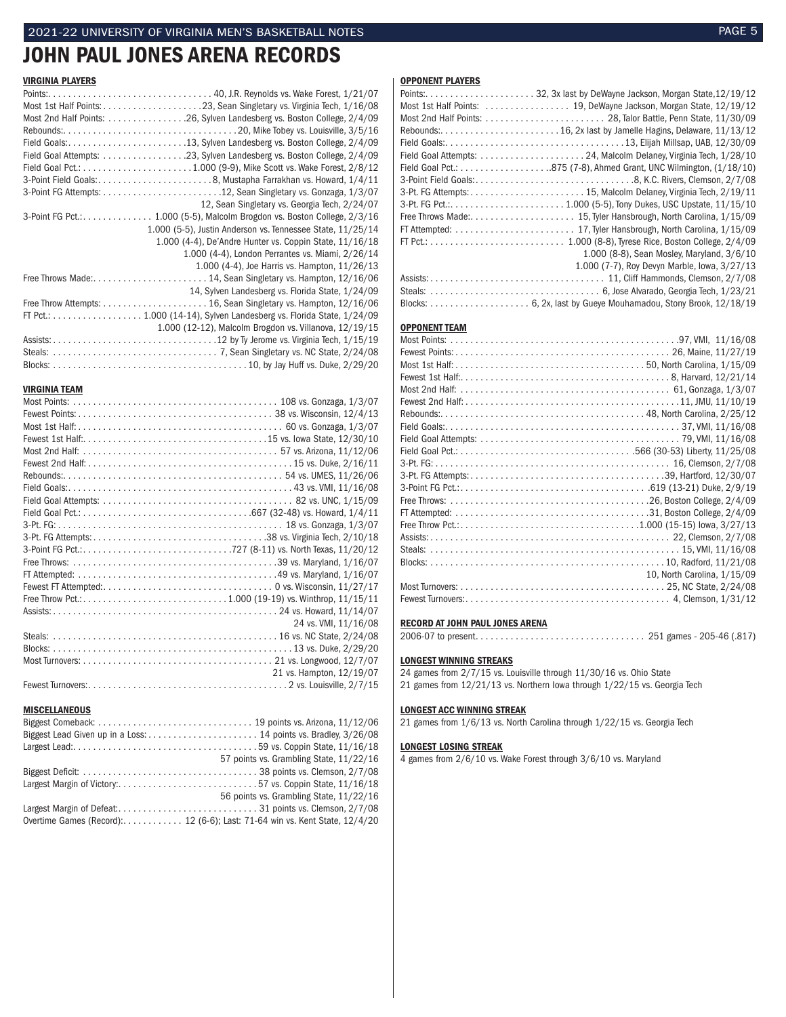# JOHN PAUL JONES ARENA RECORDS

#### VIRGINIA PLAYERS

| Most 2nd Half Points: 26, Sylven Landesberg vs. Boston College, 2/4/09 |  |
|------------------------------------------------------------------------|--|
|                                                                        |  |
|                                                                        |  |
|                                                                        |  |
|                                                                        |  |
|                                                                        |  |
|                                                                        |  |
| 12, Sean Singletary vs. Georgia Tech, 2/24/07                          |  |
|                                                                        |  |
| 1.000 (5-5), Justin Anderson vs. Tennessee State, 11/25/14             |  |
| 1.000 (4-4), De'Andre Hunter vs. Coppin State, 11/16/18                |  |
| 1.000 (4-4), London Perrantes vs. Miami, 2/26/14                       |  |
| 1.000 (4-4), Joe Harris vs. Hampton, 11/26/13                          |  |
|                                                                        |  |
| 14, Sylven Landesberg vs. Florida State, 1/24/09                       |  |
|                                                                        |  |
|                                                                        |  |
| 1.000 (12-12), Malcolm Brogdon vs. Villanova, 12/19/15                 |  |
|                                                                        |  |
|                                                                        |  |
|                                                                        |  |

# **VIRGINIA TEAM**<br>Most Points:

| 24 vs. VMI, 11/16/08     |
|--------------------------|
|                          |
|                          |
|                          |
| 21 vs. Hampton, 12/19/07 |
|                          |

#### **MISCELLANEOUS**

|                                                                            | 57 points vs. Grambling State, 11/22/16 |
|----------------------------------------------------------------------------|-----------------------------------------|
|                                                                            |                                         |
|                                                                            |                                         |
|                                                                            | 56 points vs. Grambling State, 11/22/16 |
|                                                                            |                                         |
| Overtime Games (Record): 12 (6-6); Last: 71-64 win vs. Kent State, 12/4/20 |                                         |
|                                                                            |                                         |

#### OPPONENT PLAYERS

| 1.000 (8-8), Sean Mosley, Maryland, 3/6/10   |
|----------------------------------------------|
| 1.000 (7-7), Roy Devyn Marble, Iowa, 3/27/13 |
|                                              |
|                                              |
|                                              |

#### OPPONENT TEAM

| 10, North Carolina, 1/15/09 |
|-----------------------------|
|                             |
|                             |

#### RECORD AT JOHN PAUL JONES ARENA

2006-07 to present. . . 251 games - 205-46 (.817)

#### LONGEST WINNING STREAKS

24 games from 2/7/15 vs. Louisville through 11/30/16 vs. Ohio State 21 games from 12/21/13 vs. Northern Iowa through 1/22/15 vs. Georgia Tech

#### LONGEST ACC WINNING STREAK

21 games from 1/6/13 vs. North Carolina through 1/22/15 vs. Georgia Tech

#### LONGEST LOSING STREAK

4 games from 2/6/10 vs. Wake Forest through 3/6/10 vs. Maryland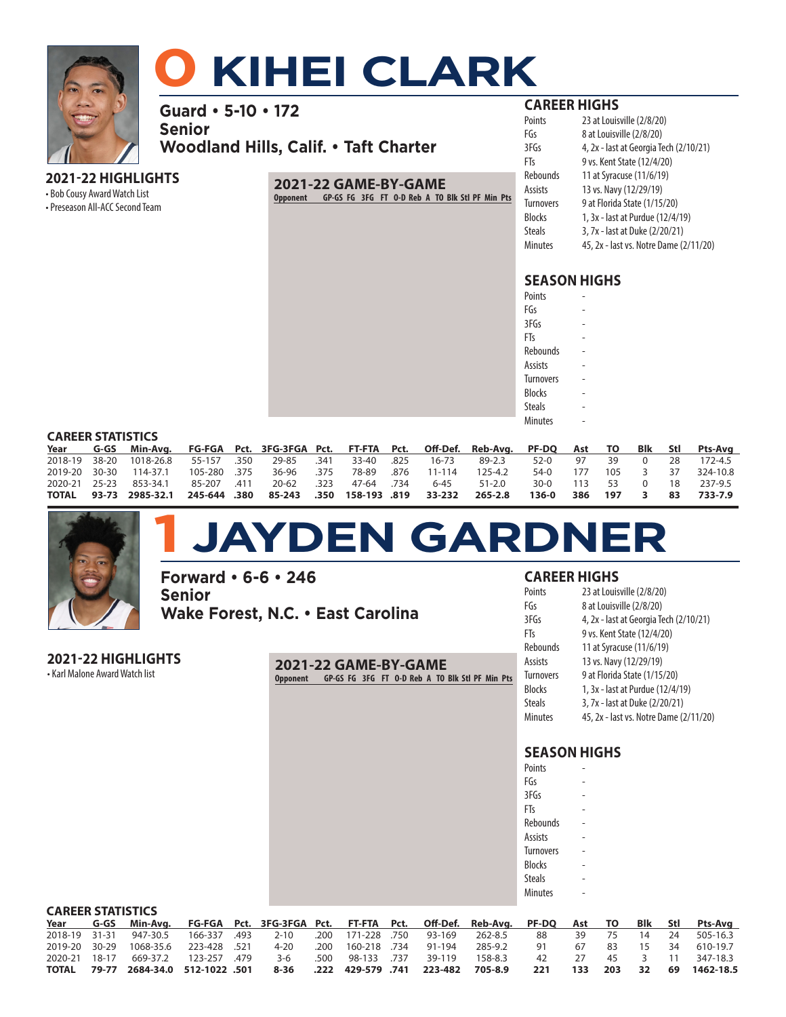

# **0 KIHEI CLARK**

**Guard • 5-10 • 172**

**Senior Woodland Hills, Calif. • Taft Charter**

### **2021-22 HIGHLIGHTS**

• Bob Cousy Award Watch List

• Preseason All-ACC Second Team

# **2021-22 GAME-BY-GAME**

**Opponent GP-GS FG 3FG FT O-D Reb A TO Blk Stl PF Min Pts**

# **CAREER HIGHS**

| Points           | 23 at Louisville (2/8/20)              |
|------------------|----------------------------------------|
| FGs              | 8 at Louisville (2/8/20)               |
| 3FGs             | 4, 2x - last at Georgia Tech (2/10/21) |
| FTs              | 9 vs. Kent State (12/4/20)             |
| Rebounds         | 11 at Syracuse (11/6/19)               |
| Assists          | 13 vs. Navy (12/29/19)                 |
| <b>Turnovers</b> | 9 at Florida State (1/15/20)           |
| Blocks           | 1, 3x - last at Purdue (12/4/19)       |
| <b>Steals</b>    | 3, 7x - last at Duke (2/20/21)         |
| Minutes          | 45, 2x - last vs. Notre Dame (2/11/20) |
|                  |                                        |

# **SEASON HIGHS**

| Points           |  |
|------------------|--|
| FGs              |  |
| 3FGs             |  |
| FTs              |  |
| Rebounds         |  |
| <b>Assists</b>   |  |
| <b>Turnovers</b> |  |
| <b>Blocks</b>    |  |
| <b>Steals</b>    |  |
| <b>Minutes</b>   |  |
|                  |  |

#### **CAREER STATISTICS**

| Year | G-GS Min-Avg. FG-FGA Pct. 3FG-3FGA Pct. FT-FTA Pct. Off-Def. Reb-Avg. PF-DQ Ast TO Blk Stl Pts-Avg   |  |  |  |  |               |  |    |                            |
|------|------------------------------------------------------------------------------------------------------|--|--|--|--|---------------|--|----|----------------------------|
|      | 2018-19 38-20 1018-26.8  55-157  .350  29-85  .341  33-40  .825  16-73   89-2.3   52-0   97   39   0 |  |  |  |  |               |  | 28 | 172-4.5                    |
|      | 2019-20 30-30 114-37.1 105-280 .375 36-96 .375 78-89 .876 11-114 125-4.2                             |  |  |  |  |               |  |    | 54-0 177 105 3 37 324-10.8 |
|      | 2020-21 25-23 853-34.1 85-207 .411 20-62 .323 47-64 .734 6-45 51-2.0                                 |  |  |  |  | 30-0 113 53 0 |  |    | 18 237-9.5                 |
|      | TOTAL  93-73  2985-32.1  245-644  .380  85-243  .350  158-193 .819  33-232  265-2.8  136-0           |  |  |  |  |               |  |    | 386 197 3 83 733-7.9       |



# **1 JAYDEN GARDNER**

**Forward • 6-6 • 246 Senior Wake Forest, N.C. • East Carolina**

| 2021-22 HIGHLIGHTS             |  |
|--------------------------------|--|
| • Karl Malone Award Watch list |  |

**2021-22 GAME-BY-GAME Opponent GP-GS FG 3FG FT O-D Reb A TO Blk Stl PF Min Pts**

### **CAREER HIGHS**

| Points    | 23 at Louisville (2/8/20)              |
|-----------|----------------------------------------|
| FGs       | 8 at Louisville (2/8/20)               |
| 3FGs      | 4, 2x - last at Georgia Tech (2/10/21) |
| FTs       | 9 vs. Kent State (12/4/20)             |
| Rebounds  | 11 at Syracuse (11/6/19)               |
| Assists   | 13 vs. Navy (12/29/19)                 |
| Turnovers | 9 at Florida State (1/15/20)           |
| Blocks    | 1, 3x - last at Purdue (12/4/19)       |
| Steals    | 3, 7x - last at Duke (2/20/21)         |
| Minutes   | 45, 2x - last vs. Notre Dame (2/11/20) |

| Points           |  |
|------------------|--|
| FGs              |  |
| 3FGs             |  |
| FTs              |  |
| Rebounds         |  |
| Assists          |  |
| <b>Turnovers</b> |  |
| <b>Blocks</b>    |  |
| Steals           |  |
| <b>Minutes</b>   |  |
|                  |  |

| <b>CAREER STATISTICS</b> |  |                                                                                                         |  |  |  |                         |         |      |      |             |       |    |              |
|--------------------------|--|---------------------------------------------------------------------------------------------------------|--|--|--|-------------------------|---------|------|------|-------------|-------|----|--------------|
|                          |  | Year G-GS Min-Avg. FG-FGA Pct. 3FG-3FGA Pct. FT-FTA Pct. Off-Def. Reb-Avg. PF-DQ Ast TO Blk Stl Pts-Avg |  |  |  |                         |         |      |      |             |       |    |              |
|                          |  | 2018-19 31-31 947-30.5 166-337 .493 2-10 .200 171-228 .750 93-169                                       |  |  |  |                         | 262-8.5 | - 88 | - 39 | 75          | 14 24 |    | 505-16.3     |
|                          |  | 2019-20 30-29 1068-35.6 223-428 521 4-20 .200 160-218 734 91-194                                        |  |  |  |                         | 285-9.2 | 91   |      | 67 83 15 34 |       |    | 610-19.7     |
|                          |  | 2020-21 18-17 669-37.2 123-257 479 3-6                                                                  |  |  |  | .500 98-133 .737 39-119 | 158-8.3 | 42   | - 27 |             | 45 3  | 11 | 347-18.3     |
|                          |  | .222 429-579 .741 223-482 705-8.9 .01 .222 .501 .222 .222 429-579 .741 .223-482                         |  |  |  |                         |         | 221  | 133  | 203         | 32    |    | 69 1462-18.5 |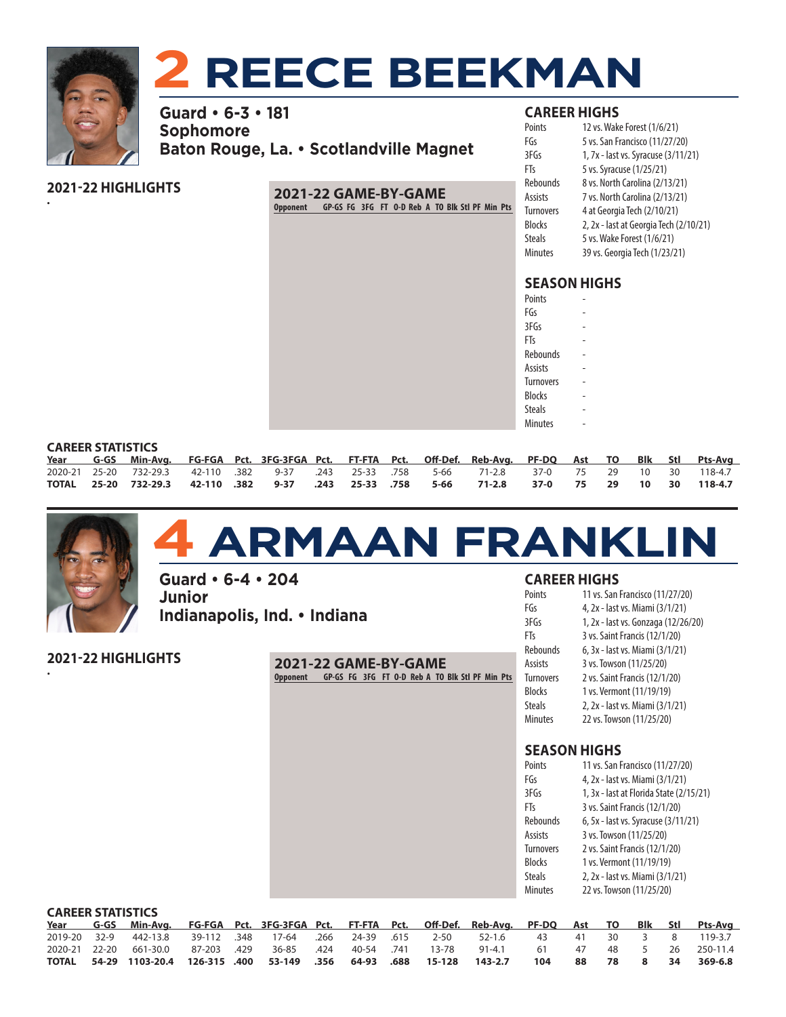

# **2 REECE BEEKMAN**

**Guard • 6-3 • 181 Sophomore Baton Rouge, La. • Scotlandville Magnet**

# **2021-22 HIGHLIGHTS**

• **2021-22 GAME-BY-GAME Opponent GP-GS FG 3FG FT O-D Reb A TO Blk Stl PF Min Pts**

|  | <b>CAREER HIGHS</b> |  |  |
|--|---------------------|--|--|
|  |                     |  |  |

| 12 vs. Wake Forest (1/6/21)            |
|----------------------------------------|
| 5 vs. San Francisco (11/27/20)         |
| 1, 7x - last vs. Syracuse (3/11/21)    |
| 5 vs. Syracuse (1/25/21)               |
| 8 vs. North Carolina (2/13/21)         |
| 7 vs. North Carolina (2/13/21)         |
| 4 at Georgia Tech (2/10/21)            |
| 2, 2x - last at Georgia Tech (2/10/21) |
| 5 vs. Wake Forest (1/6/21)             |
| 39 vs. Georgia Tech (1/23/21)          |
|                                        |

# **SEASON HIGHS**

| Points           |  |
|------------------|--|
| FGs              |  |
| 3FGs             |  |
| FTs              |  |
| Rebounds         |  |
| Assists          |  |
| <b>Turnovers</b> |  |
| <b>Blocks</b>    |  |
| <b>Steals</b>    |  |
| <b>Minutes</b>   |  |
|                  |  |

#### **CAREER STATISTICS**

| _______________________ |  |                                                                                                         |  |  |  |  |  |  |  |  |  |  |  |  |  |
|-------------------------|--|---------------------------------------------------------------------------------------------------------|--|--|--|--|--|--|--|--|--|--|--|--|--|
|                         |  | Year G-GS Min-Avg. FG-FGA Pct. 3FG-3FGA Pct. FT-FTA Pct. Off-Def. Reb-Avg. PF-DQ Ast TO Blk Stl Pts-Avg |  |  |  |  |  |  |  |  |  |  |  |  |  |
|                         |  | 2020-21 25-20 732-29.3 42-110 .382 9-37 .243 25-33 .758 5-66 71-2.8 37-0 75 29 10 30 118-4.7            |  |  |  |  |  |  |  |  |  |  |  |  |  |
|                         |  | TOTAL 25-20 732-29.3 42-110 .382 9-37 .243 25-33 .758 5-66 71-2.8 37-0 75 29 10 30 118-4.7              |  |  |  |  |  |  |  |  |  |  |  |  |  |



•

# **4 ARMAAN FRANKLIN**

**Guard • 6-4 • 204 Junior Indianapolis, Ind. • Indiana**

**2021-22 HIGHLIGHTS**

**2021-22 GAME-BY-GAME Opponent GP-GS FG 3FG FT O-D Reb A TO Blk Stl PF Min Pts**

### **CAREER HIGHS**

| Points           | 11 vs. San Francisco (11/27/20)     |
|------------------|-------------------------------------|
| FGs              | 4, 2x - last vs. Miami (3/1/21)     |
| 3FGs             | 1, 2x - last vs. Gonzaga (12/26/20) |
| FTs              | 3 vs. Saint Francis (12/1/20)       |
| Rebounds         | 6, 3x - last vs. Miami (3/1/21)     |
| Assists          | 3 vs. Towson (11/25/20)             |
| <b>Turnovers</b> | 2 vs. Saint Francis (12/1/20)       |
| <b>Blocks</b>    | 1 vs. Vermont (11/19/19)            |
| Steals           | 2, 2x - last vs. Miami (3/1/21)     |
| Minutes          | 22 vs. Towson (11/25/20)            |
|                  |                                     |

| 11 vs. San Francisco (11/27/20)         |
|-----------------------------------------|
| 4, 2x - last vs. Miami (3/1/21)         |
| 1, 3x - last at Florida State (2/15/21) |
| 3 vs. Saint Francis (12/1/20)           |
| 6, 5x - last vs. Syracuse (3/11/21)     |
| 3 vs. Towson (11/25/20)                 |
| 2 vs. Saint Francis (12/1/20)           |
| 1 vs. Vermont (11/19/19)                |
| 2, 2x - last vs. Miami (3/1/21)         |
| 22 vs. Towson (11/25/20)                |
|                                         |

|              | <b>CAREER STATISTICS</b> |                                                                                         |  |  |                             |  |  |  |                      |                |     |     |    |             |      |                 |
|--------------|--------------------------|-----------------------------------------------------------------------------------------|--|--|-----------------------------|--|--|--|----------------------|----------------|-----|-----|----|-------------|------|-----------------|
|              |                          | Year G-GS Min-Avg. FG-FGA Pct. 3FG-3FGA Pct. FT-FTA Pct. Off-Def. Reb-Avg. PF-DQ Ast TO |  |  |                             |  |  |  |                      |                |     |     |    |             |      | Blk Stl Pts-Ava |
| 2019-20 32-9 |                          | 442-13.8 39-112 .348 17-64                                                              |  |  |                             |  |  |  | .266 24-39 .615 2-50 | $\cdot$ 52-1.6 | 43  | -41 | 30 | $-1$ 3 $-1$ | 8    | 119-3.7         |
|              |                          | 2020-21 22-20 661-30.0 87-203 .429                                                      |  |  | 36-85 .424 40-54 .741 13-78 |  |  |  |                      | 91-4.1         | 61  | 47  |    | 48 5        | - 26 | 250-11.4        |
| TOTAL        |                          | 54-29 1103-20.4 126-315 .400 53-149 .356 64-93 .688 15-128                              |  |  |                             |  |  |  |                      | 143-2.7        | 104 | 88  | 78 | 8           | 34   | 369-6.8         |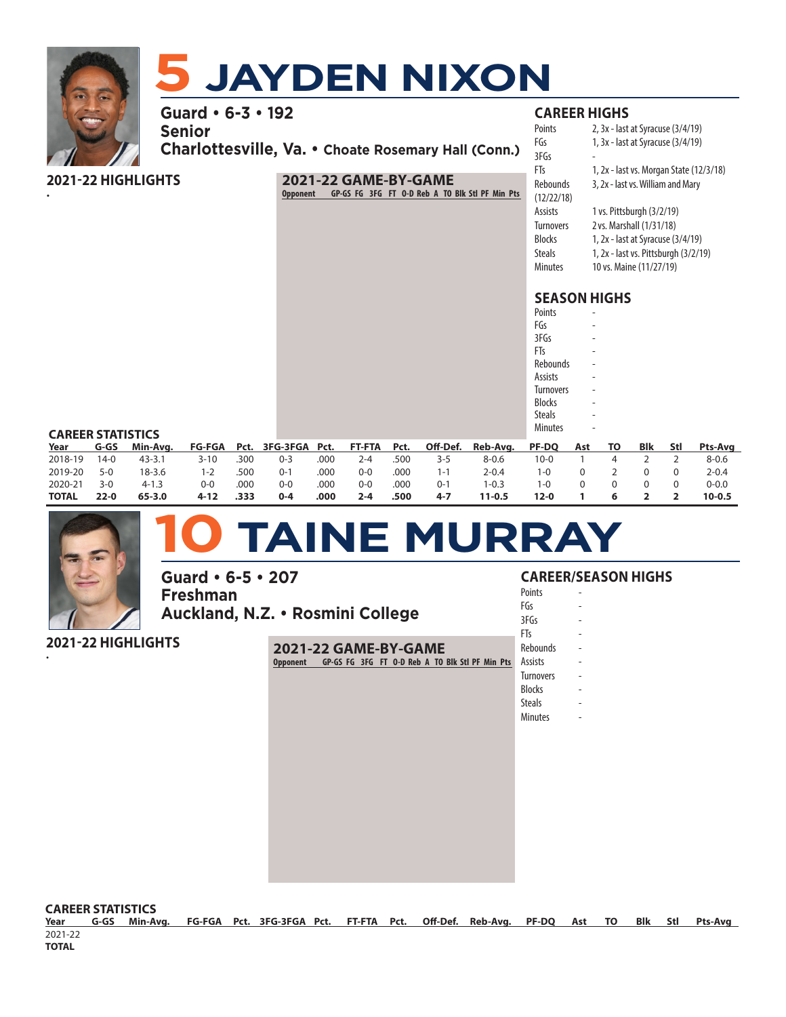

| romis         |  |
|---------------|--|
| FGs           |  |
| 3FGs          |  |
| FTs           |  |
| Rebounds      |  |
| Assists       |  |
| Turnovers     |  |
| Blocks        |  |
| <b>Steals</b> |  |
| Minutes       |  |
|               |  |

#### **CAREER STATISTICS**

| Year         | G-GS     | Min-Ava.   |          |      |         |      |         |      |         | FG-FGA Pct. 3FG-3FGA Pct. FT-FTA Pct. Off-Def. Reb-Avg. PF-DQ |          | Ast TO | Blk | Stl | Pts-Ava    |
|--------------|----------|------------|----------|------|---------|------|---------|------|---------|---------------------------------------------------------------|----------|--------|-----|-----|------------|
| 2018-19      | $14-0$   | $43 - 3.1$ | $3 - 10$ | .300 | $0 - 3$ | .000 | $2 - 4$ | .500 | 3-5     | 8-0.6                                                         | 10-0     |        |     |     | $8 - 0.6$  |
| 2019-20      | $5-0$    | $18 - 3.6$ | $1 - 2$  | .500 | $0 - 1$ | .000 | $0 - 0$ | .000 | $1 - 1$ | $2 - 0.4$                                                     | 1-0      |        |     |     | $2 - 0.4$  |
| 2020-21      | $3-0$    | $4 - 1.3$  | $0 - 0$  | .000 | $0 - 0$ | .000 | $0 - 0$ | .000 | $0 - 1$ | $1 - 0.3$                                                     | 1-0      |        |     |     | $0 - 0.0$  |
| <b>TOTAL</b> | $22 - 0$ | 65-3.0     | 4-12     | .333 | $0 - 4$ | .000 | $2 - 4$ | .500 | $4 - 7$ | 11-0.5                                                        | $12 - 0$ |        |     |     | $10 - 0.5$ |



# **10 TAINE MURRAY**

**Guard • 6-5 • 207 Freshman Auckland, N.Z. • Rosmini College**

**2021-22 HIGHLIGHTS**

• **2021-22 GAME-BY-GAME Opponent GP-GS FG 3FG FT O-D Reb A TO Blk Stl PF Min Pts**

#### **CAREER/SEASON HIGHS**

**Points** FGs - 3FGs FTs - **Rebounds Assists Turnovers Blocks** Steals

**Minutes** 

**CAREER STATISTICS**

**Year G-GS Min-Avg. FG-FGA Pct. 3FG-3FGA Pct. FT-FTA Pct. Off-Def. Reb-Avg. PF-DQ Ast TO Blk Stl Pts-Avg** 2021-22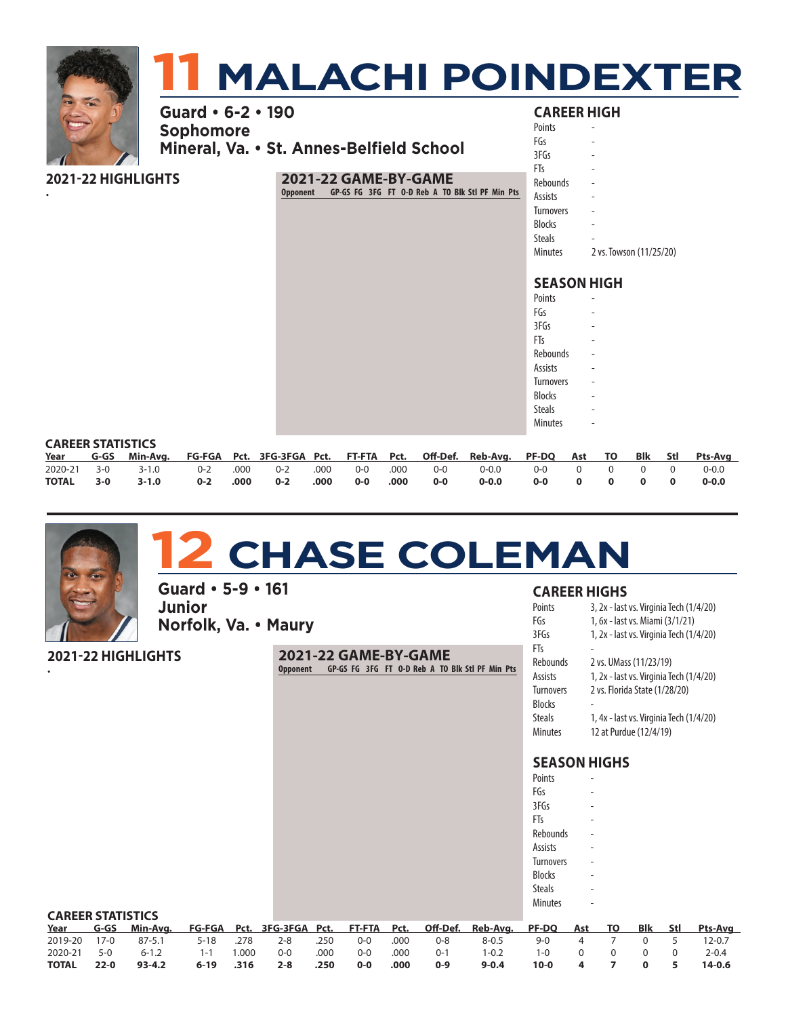|                    |                                       | <b>TI MALACHI POINDEXTER</b>                                                               |                                                                                                           |                                   |
|--------------------|---------------------------------------|--------------------------------------------------------------------------------------------|-----------------------------------------------------------------------------------------------------------|-----------------------------------|
|                    | Guard • 6-2 • 190<br><b>Sophomore</b> | Mineral, Va. • St. Annes-Belfield School                                                   | <b>CAREER HIGH</b><br>Points<br>FGs<br>3FGs                                                               |                                   |
| 2021-22 HIGHLIGHTS |                                       | 2021-22 GAME-BY-GAME<br>GP-GS FG 3FG FT 0-D Reb A TO Blk Stl PF Min Pts<br><b>Opponent</b> | FTs<br><b>Rebounds</b><br>Assists<br><b>Turnovers</b><br><b>Blocks</b><br><b>Steals</b><br><b>Minutes</b> | $\sim$<br>2 vs. Towson (11/25/20) |
|                    |                                       |                                                                                            | <b>SEASON HIGH</b><br>Points<br>FGs<br>3FGs<br>FTs                                                        |                                   |

|  | <b>12 CHASE COLEMAN</b> |  |  |
|--|-------------------------|--|--|
|  |                         |  |  |

2020-21 3-0 3-1.0 0-2 .000 0-2 .000 0-0 .000 0-0 0-0.0 0-0 0 0 0 0 0-0.0 **TOTAL 3-0 3-1.0 0-2 .000 0-2 .000 0-0 .000 0-0 0-0.0 0-0 0 0 0 0 0-0.0**

**Year G-GS Min-Avg. FG-FGA Pct. 3FG-3FGA Pct. FT-FTA Pct. Off-Def. Reb-Avg. PF-DQ Ast TO Blk Stl Pts-Avg**

**Guard • 5-9 • 161 Junior Norfolk, Va. • Maury**

**2021-22 HIGHLIGHTS**

CAREER STATISTICS<br>Year G-GS Min-Avg.

•

**2021-22 GAME-BY-GAME Opponent GP-GS FG 3FG FT O-D Reb A TO Blk Stl PF Min Pts**

#### **CAREER HIGHS**

Rebounds Assists **Turnovers Blocks** Steals **Minutes** 

| Points           | 3, 2x - last vs. Virginia Tech (1/4/20) |
|------------------|-----------------------------------------|
| FGs              | 1, 6x - last vs. Miami (3/1/21)         |
| 3FGs             | 1, 2x - last vs. Virginia Tech (1/4/20) |
| FTs              |                                         |
| Rebounds         | 2 vs. UMass (11/23/19)                  |
| Assists          | 1, 2x - last vs. Virginia Tech (1/4/20) |
| <b>Turnovers</b> | 2 vs. Florida State (1/28/20)           |
| <b>Blocks</b>    |                                         |
| Steals           | 1, 4x - last vs. Virginia Tech (1/4/20) |
| Minutes          | 12 at Purdue (12/4/19)                  |
|                  |                                         |

| Points           |  |
|------------------|--|
| FGs              |  |
| 3FGs             |  |
| FTs              |  |
| Rebounds         |  |
| Assists          |  |
| <b>Turnovers</b> |  |
| <b>Blocks</b>    |  |
| Steals           |  |
| Minutes          |  |

| <b>CAREER STATISTICS</b> |          |            |          |      |         |      |         |      |         |                                                                      |        |   |     |       |                |
|--------------------------|----------|------------|----------|------|---------|------|---------|------|---------|----------------------------------------------------------------------|--------|---|-----|-------|----------------|
| Year                     | G-GS     | Min-Ava.   |          |      |         |      |         |      |         | FG-FGA Pct. 3FG-3FGA Pct. FT-FTA Pct. Off-Def. Reb-Avg. PF-DQ Ast TO |        |   | Blk | - Stl | <b>Pts-Ava</b> |
| 2019-20                  | $17-0$   | $87 - 5.1$ | $5 - 18$ | .278 | 2-8     | .250 | $0-0$   | .000 | 0-8     | $8 - 0.5$                                                            | $9-0$  |   |     |       | $12 - 0.7$     |
| 2020-21                  | $5-0$    | $6 - 1.2$  | 1-1      | .000 | $0 - 0$ | .000 | $0 - 0$ | .000 | $0 - 1$ | $-0.2$                                                               | 1-0    |   |     |       | $2 - 0.4$      |
| <b>TOTAL</b>             | $22 - 0$ | $93 - 4.2$ | $6 - 19$ | .316 | $2 - 8$ | .250 | $0 - 0$ | .000 | $0 - 9$ | $9 - 0.4$                                                            | $10-0$ | 4 |     |       | $14-0.6$       |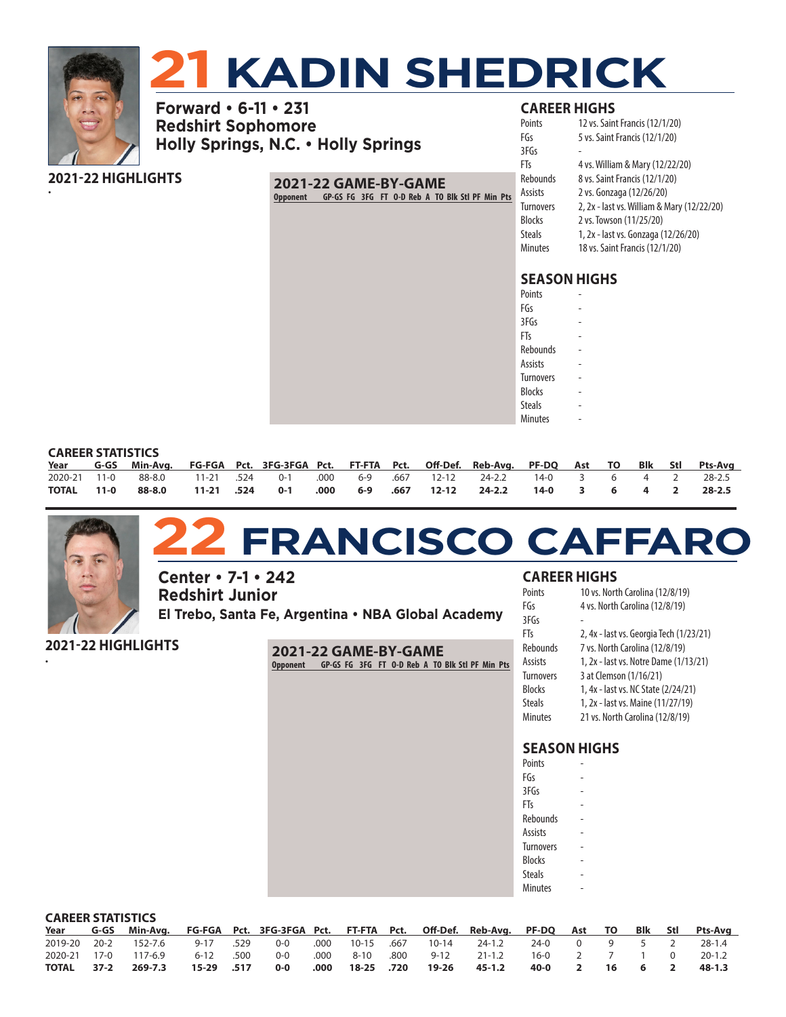

# **21 KADIN SHEDRICK**

**Forward • 6-11 • 231 Redshirt Sophomore Holly Springs, N.C. • Holly Springs**

#### **2021-22 HIGHLIGHTS** •

#### **2021-22 GAME-BY-GAME Opponent GP-GS FG 3FG FT O-D Reb A TO Blk Stl PF Min Pts**

### **CAREER HIGHS**

| 2, 2x - last vs. William & Mary (12/22/20) |
|--------------------------------------------|
|                                            |
|                                            |
|                                            |
|                                            |

# **SEASON HIGHS**

| Points         |  |
|----------------|--|
| FGs            |  |
| 3FGs           |  |
| FTs            |  |
| Rebounds       |  |
| Assists        |  |
| Turnovers      |  |
| <b>Blocks</b>  |  |
| <b>Steals</b>  |  |
| <b>Minutes</b> |  |

#### **CAREER STATISTICS**

| _______________________ |  |                                                                                                         |  |  |  |  |  |  |  |  |  |  |  |  |  |  |
|-------------------------|--|---------------------------------------------------------------------------------------------------------|--|--|--|--|--|--|--|--|--|--|--|--|--|--|
|                         |  | Year G-GS Min-Avg. FG-FGA Pct. 3FG-3FGA Pct. FT-FTA Pct. Off-Def. Reb-Avg. PF-DQ Ast TO Blk Stl Pts-Avg |  |  |  |  |  |  |  |  |  |  |  |  |  |  |
|                         |  | 2020-21 11-0 88-8.0 11-21 .524 0-1 .000 6-9 .667 12-12 24-2.2 14-0 3 6 4 2 28-2.5                       |  |  |  |  |  |  |  |  |  |  |  |  |  |  |
|                         |  | TOTAL 11-0 88-8.0 11-21 524 0-1 .000 6-9 .667 12-12 24-2.2 14-0 3 6 4 2 28-2.5                          |  |  |  |  |  |  |  |  |  |  |  |  |  |  |



# **22 FRANCISCO CAFFARO**

**Center • 7-1 • 242 Redshirt Junior El Trebo, Santa Fe, Argentina • NBA Global Academy**

**2021-22 HIGHLIGHTS**

• **2021-22 GAME-BY-GAME Opponent GP-GS FG 3FG FT O-D Reb A TO Blk Stl PF Min Pts**

#### **CAREER HIGHS**

| 10 vs. North Carolina (12/8/19)         |
|-----------------------------------------|
| 4 vs. North Carolina (12/8/19)          |
|                                         |
| 2, 4x - last vs. Georgia Tech (1/23/21) |
| 7 vs. North Carolina (12/8/19)          |
| 1, 2x - last vs. Notre Dame (1/13/21)   |
| 3 at Clemson (1/16/21)                  |
| 1, 4x - last vs. NC State (2/24/21)     |
| 1, 2x - last vs. Maine (11/27/19)       |
| 21 vs. North Carolina (12/8/19)         |
|                                         |

| Points           |  |
|------------------|--|
| FGs              |  |
| 3FGs             |  |
| FTs              |  |
| Rebounds         |  |
| Assists          |  |
| <b>Turnovers</b> |  |
| <b>Blocks</b>    |  |
| Steals           |  |
| <b>Minutes</b>   |  |

|              | <b>CAREER STATISTICS</b> |                                                                                    |            |      |       |      |            |      |                  |            |            |                         |  |         |        |            |
|--------------|--------------------------|------------------------------------------------------------------------------------|------------|------|-------|------|------------|------|------------------|------------|------------|-------------------------|--|---------|--------|------------|
| Year         |                          | G-GS Min-Avg. FG-FGA Pct. 3FG-3FGA Pct. FT-FTA Pct. Off-Def. Reb-Avg. PF-DQ Ast TO |            |      |       |      |            |      |                  |            |            |                         |  | Blk Stl |        | Pts-Ava    |
| 2019-20 20-2 |                          | 152-7.6                                                                            | 9-17       | .529 | 0-0   | .000 |            |      | 10-15 .667 10-14 | 24-1.2     | 24-0       | $\overline{0}$          |  | 9 5 2   |        | 28-1.4     |
| 2020-21 17-0 |                          | 117-6.9                                                                            | $6 - 12$   | .500 | $O-O$ | .000 | 8-10       | .800 | $9 - 12$         | $21 - 1.2$ | 16-0 2 7 1 |                         |  |         | $\cap$ | $20 - 1.2$ |
| TOTAL        | 37-2                     | 269-7.3                                                                            | 15-29 .517 |      | 0-0   | .000 | 18-25 .720 |      | 19-26            | 45-1.2     | 40-0       | $\overline{\mathbf{2}}$ |  | 16 6    |        | 48-1.3     |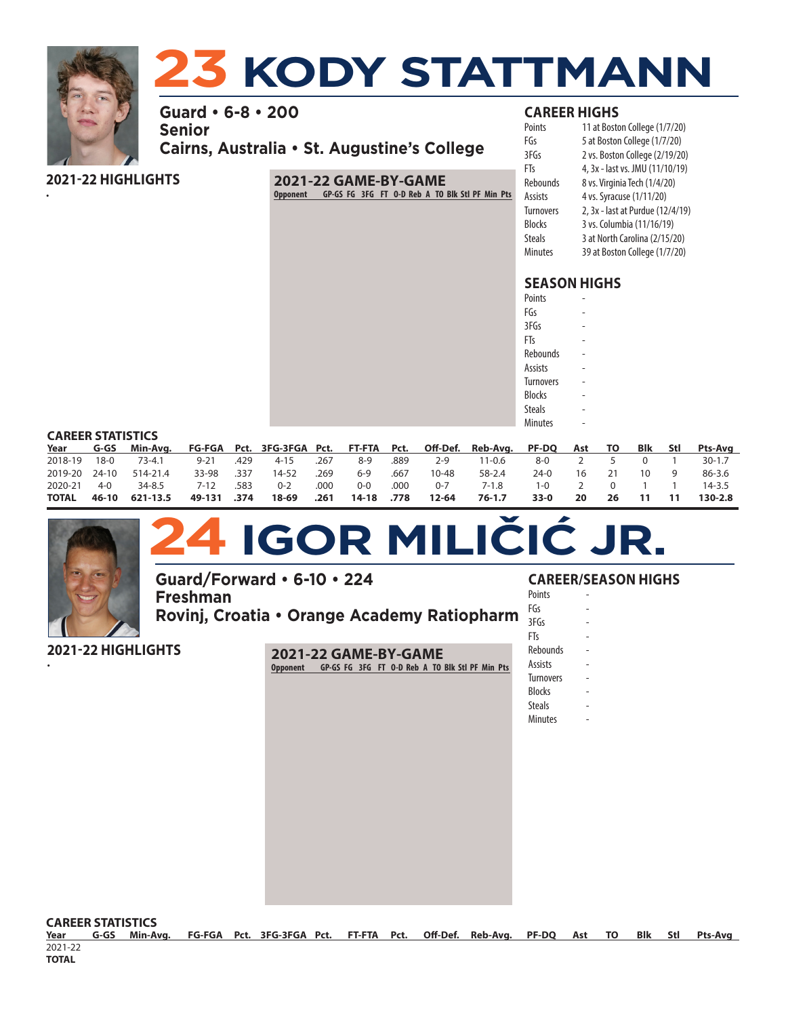

•

# **23 KODY STATTMANN**

**Guard • 6-8 • 200 Senior Cairns, Australia • St. Augustine's College**

**2021-22 HIGHLIGHTS**

# **2021-22 GAME-BY-GAME Opponent GP-GS FG 3FG FT O-D Reb A TO Blk Stl PF Min Pts**

### **CAREER HIGHS**

| Points           | 11 at Boston College (1/7/20)    |
|------------------|----------------------------------|
| FGs              | 5 at Boston College (1/7/20)     |
| 3FGs             | 2 vs. Boston College (2/19/20)   |
| FTs              | 4, 3x - last vs. JMU (11/10/19)  |
| Rebounds         | 8 vs. Virginia Tech (1/4/20)     |
| Assists          | 4 vs. Syracuse (1/11/20)         |
| <b>Turnovers</b> | 2, 3x - last at Purdue (12/4/19) |
| Blocks           | 3 vs. Columbia (11/16/19)        |
| <b>Steals</b>    | 3 at North Carolina (2/15/20)    |
| <b>Minutes</b>   | 39 at Boston College (1/7/20)    |
|                  |                                  |

# **SEASON HIGHS**

| Points           |  |
|------------------|--|
| FGs              |  |
| 3FGs             |  |
| FTs              |  |
| Rebounds         |  |
| Assists          |  |
| <b>Turnovers</b> |  |
| <b>Blocks</b>    |  |
| Steals           |  |
| <b>Minutes</b>   |  |
|                  |  |

#### **CAREER STATISTICS**

| Year          | G-GS  | Min-Avg. FG-FGA Pct. 3FG-3FGA Pct. FT-FTA Pct. Off-Def. Reb-Avg. PF-DQ Ast TO |             |      |         |      |            |      |           |            |        |    |    | Blk | Stl Pts-Avg |
|---------------|-------|-------------------------------------------------------------------------------|-------------|------|---------|------|------------|------|-----------|------------|--------|----|----|-----|-------------|
| 2018-19       | 18-0  | 73-4.1                                                                        | $9 - 21$    | .429 | 4-15    | .267 | 8-9        | .889 | $2-9$     | $11 - 0.6$ | 8-0    |    |    |     | $30 - 1.7$  |
| 2019-20 24-10 |       | 514-21.4                                                                      | 33-98 .337  |      | 14-52   | .269 | $6-9$      | .667 | $10 - 48$ | 58-2.4     | 24-0   | 16 |    |     | 86-3.6      |
| 2020-21       | $4-0$ | 34-8.5                                                                        | 7-12        | .583 | $0 - 2$ | .000 | $O-O$      | .000 | $0 - 7$   | 7-1.8      | 1-0    |    |    |     | $14 - 3.5$  |
| TOTAL         | 46-10 | 621-13.5                                                                      | 49-131 .374 |      | 18-69   | .261 | 14-18 .778 |      | 12-64     | 76-1.7     | $33-0$ | 20 | 26 |     | $130 - 2.8$ |



# **24 IGOR MILIČIĆ JR.**

**Guard/Forward • 6-10 • 224 Freshman Rovinj, Croatia • Orange Academy Ratiopharm**

**2021-22 HIGHLIGHTS**

• **2021-22 GAME-BY-GAME Opponent GP-GS FG 3FG FT O-D Reb A TO Blk Stl PF Min Pts**

### **CAREER/SEASON HIGHS**

**Points** FGs -  $3FGs$  $FTs$ **Rebounds** Assists **Turnovers Blocks** 

**Steals Minutes** 

**CAREER STATISTICS** 

**Year G-GS Min-Avg. FG-FGA Pct. 3FG-3FGA Pct. FT-FTA Pct. Off-Def. Reb-Avg. PF-DQ Ast TO Blk Stl Pts-Avg** 2021-22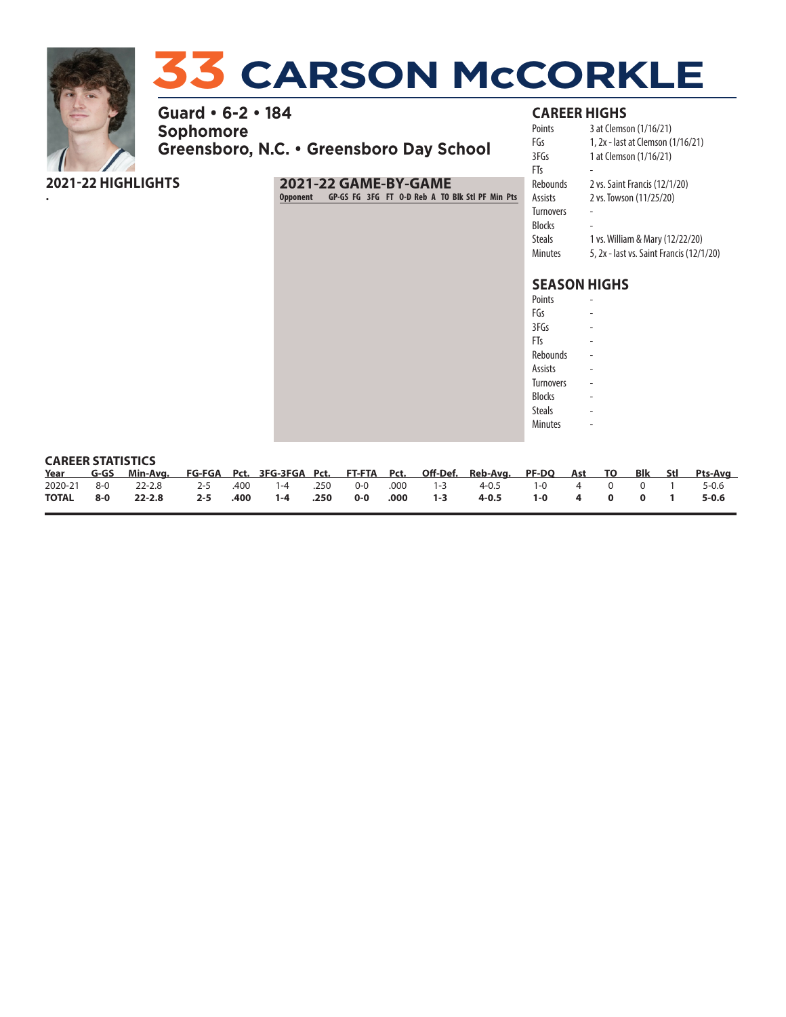

•

# **33 CARSON McCORKLE**

**Guard • 6-2 • 184 Sophomore Greensboro, N.C. • Greensboro Day School**

**2021-22 HIGHLIGHTS**

# **2021-22 GAME-BY-GAME Opponent GP-GS FG 3FG FT O-D Reb A TO Blk Stl PF Min Pts**

# **CAREER HIGHS**

| Points    | 3 at Clemson (1/16/21)                   |
|-----------|------------------------------------------|
| FGs       | 1, 2x - last at Clemson (1/16/21)        |
| 3FGs      | 1 at Clemson (1/16/21)                   |
| FTs       |                                          |
| Rebounds  | 2 vs. Saint Francis (12/1/20)            |
| Assists   | 2 vs. Towson (11/25/20)                  |
| Turnovers |                                          |
| Blocks    |                                          |
| Steals    | 1 vs. William & Mary (12/22/20)          |
| Minutes   | 5, 2x - last vs. Saint Francis (12/1/20) |

# **SEASON HIGHS**

| Points          |  |
|-----------------|--|
| FGs             |  |
| 3FGs            |  |
| FTs             |  |
| <b>Rebounds</b> |  |
| Assists         |  |
| Turnovers       |  |
| <b>Blocks</b>   |  |
| Steals          |  |
| <b>Minutes</b>  |  |
|                 |  |

#### **CAREER STATISTICS**

|  | Year G-GS Min-Avg. FG-FGA Pct. 3FG-3FGA Pct. FT-FTA Pct. Off-Def. Reb-Avg. PF-DQ Ast TO Blk Stl Pts-Avg |  |  |  |  |  |  |  |
|--|---------------------------------------------------------------------------------------------------------|--|--|--|--|--|--|--|
|  | 2020-21 8-0 22-2.8 2-5 .400 1-4 .250 0-0 .000 1-3 4-0.5 1-0 4 0 0 1 5-0.6                               |  |  |  |  |  |  |  |
|  | TOTAL 8-0 22-2.8 2-5 .400 1-4 .250 0-0 .000 1-3 4-0.5 1-0 4 0 0 1 5-0.6                                 |  |  |  |  |  |  |  |